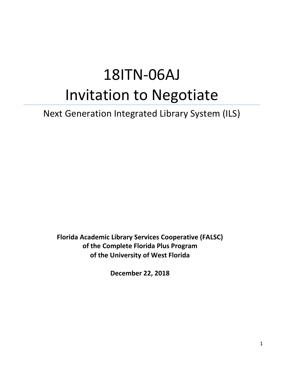# 18ITN-06AJ Invitation to Negotiate

# Next Generation Integrated Library System (ILS)

**Florida Academic Library Services Cooperative (FALSC) of the Complete Florida Plus Program of the University of West Florida** 

**December 22, 2018**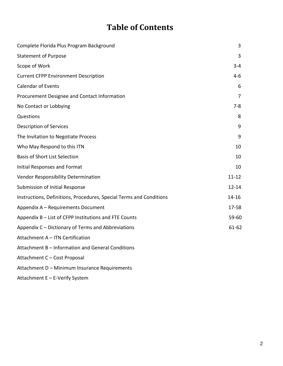# **Table of Contents**

| Complete Florida Plus Program Background                            | 3              |
|---------------------------------------------------------------------|----------------|
| <b>Statement of Purpose</b>                                         | 3              |
| Scope of Work                                                       | $3 - 4$        |
| <b>Current CFPP Environment Description</b>                         | $4 - 6$        |
| <b>Calendar of Events</b>                                           | 6              |
| Procurement Designee and Contact Information                        | $\overline{7}$ |
| No Contact or Lobbying                                              | $7 - 8$        |
| Questions                                                           | 8              |
| <b>Description of Services</b>                                      | 9              |
| The Invitation to Negotiate Process                                 | 9              |
| Who May Respond to this ITN                                         | 10             |
| <b>Basis of Short List Selection</b>                                | 10             |
| Initial Responses and Format                                        | 10             |
| Vendor Responsibility Determination                                 | $11 - 12$      |
| Submission of Initial Response                                      | $12 - 14$      |
| Instructions, Definitions, Procedures, Special Terms and Conditions | 14-16          |
| Appendix A - Requirements Document                                  | 17-58          |
| Appendix B - List of CFPP Institutions and FTE Counts               | 59-60          |
| Appendix C - Dictionary of Terms and Abbreviations                  | $61 - 62$      |
| Attachment A - ITN Certification                                    |                |
| Attachment B - Information and General Conditions                   |                |
| Attachment C - Cost Proposal                                        |                |
| Attachment D - Minimum Insurance Requirements                       |                |

Attachment E – E-Verify System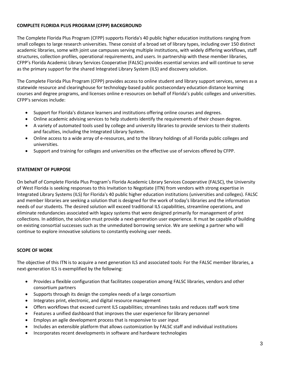#### <span id="page-2-0"></span>**COMPLETE FLORIDA PLUS PROGRAM (CFPP) BACKGROUND**

The Complete Florida Plus Program (CFPP) supports Florida's 40 public higher education institutions ranging from small colleges to large research universities. These consist of a broad set of library types, including over 150 distinct academic libraries, some with joint use campuses serving multiple institutions, with widely differing workflows, staff structures, collection profiles, operational requirements, and users. In partnership with these member libraries, CFPP's Florida Academic Library Services Cooperative (FALSC) provides essential services and will continue to serve as the primary support for the shared Integrated Library System (ILS) and discovery solution.

The Complete Florida Plus Program (CFPP) provides access to online student and library support services, serves as a statewide resource and clearinghouse for technology-based public postsecondary education distance learning courses and degree programs, and licenses online e-resources on behalf of Florida's public colleges and universities. CFPP's services include:

- Support for Florida's distance learners and institutions offering online courses and degrees.
- Online academic advising services to help students identify the requirements of their chosen degree.
- A variety of automated tools used by college and university libraries to provide services to their students and faculties, including the Integrated Library System.
- Online access to a wide array of e-resources, and to the library holdings of all Florida public colleges and universities.
- Support and training for colleges and universities on the effective use of services offered by CFPP.

#### <span id="page-2-1"></span>**STATEMENT OF PURPOSE**

On behalf of Complete Florida Plus Program's Florida Academic Library Services Cooperative (FALSC), the University of West Florida is seeking responses to this Invitation to Negotiate (ITN) from vendors with strong expertise in Integrated Library Systems (ILS) for Florida's 40 public higher education institutions (universities and colleges). FALSC and member libraries are seeking a solution that is designed for the work of today's libraries and the information needs of our students. The desired solution will exceed traditional ILS capabilities, streamline operations, and eliminate redundancies associated with legacy systems that were designed primarily for management of print collections. In addition, the solution must provide a next-generation user experience. It must be capable of building on existing consortial successes such as the unmediated borrowing service. We are seeking a partner who will continue to explore innovative solutions to constantly evolving user needs.

#### <span id="page-2-2"></span>**SCOPE OF WORK**

The objective of this ITN is to acquire a next generation ILS and associated tools: For the FALSC member libraries, a next-generation ILS is exemplified by the following:

- Provides a flexible configuration that facilitates cooperation among FALSC libraries, vendors and other consortium partners
- Supports through its design the complex needs of a large consortium
- Integrates print, electronic, and digital resource management
- Offers workflows that exceed current ILS capabilities; streamlines tasks and reduces staff work time
- Features a unified dashboard that improves the user experience for library personnel
- Employs an agile development process that is responsive to user input
- Includes an extensible platform that allows customization by FALSC staff and individual institutions
- Incorporates recent developments in software and hardware technologies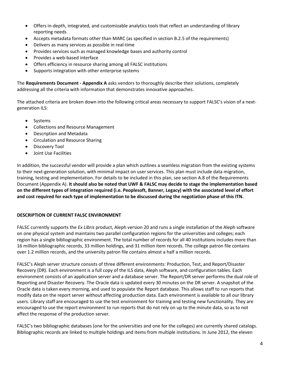- Offers in-depth, integrated, and customizable analytics tools that reflect an understanding of library reporting needs
- Accepts metadata formats other than MARC (as specified in section B.2.5 of the requirements)
- Delivers as many services as possible in real-time
- Provides services such as managed knowledge bases and authority control
- Provides a web-based interface
- Offers efficiency in resource sharing among all FALSC institutions
- Supports integration with other enterprise systems

The **Requirements Document - Appendix A** asks vendors to thoroughly describe their solutions, completely addressing all the criteria with information that demonstrates innovative approaches.

The attached criteria are broken down into the following critical areas necessary to support FALSC's vision of a nextgeneration ILS:

- Systems
- Collections and Resource Management
- Description and Metadata
- Circulation and Resource Sharing
- Discovery Tool
- Joint Use Facilities

In addition, the successful vendor will provide a plan which outlines a seamless migration from the existing systems to their next-generation solution, with minimal impact on user services. This plan must include data migration, training, testing and implementation. For details to be included in this plan, see section A.8 of the Requirements Document (Appendix A). **It should also be noted that UWF & FALSC may decide to stage the implementation based on the different types of integration required (i.e. Peoplesoft, Banner, Legacy) with the associated level of effort and cost required for each type of implementation to be discussed during the negotiation phase of this ITN.**

#### **DESCRIPTION OF CURRENT FALSC ENVIRONMENT**

FALSC currently supports the *Ex Libris* product, Aleph version 20 and runs a single installation of the Aleph software on one physical system and maintains two parallel configuration regions for the universities and colleges; each region has a single bibliographic environment. The total number of records for all 40 institutions includes more than 16 million bibliographic records, 33 million holdings, and 31 million item records. The college patron file contains over 1.2 million records, and the university patron file contains almost a half a million records.

FALSC's Aleph server structure consists of three different environments: Production, Test, and Report/Disaster Recovery (DR). Each environment is a full copy of the ILS data, Aleph software, and configuration tables. Each environment consists of an application server and a database server. The Report/DR server performs the dual role of Reporting and Disaster Recovery. The Oracle data is updated every 30 minutes on the DR server. A snapshot of the Oracle data is taken every morning, and used to populate the Report database. This allows staff to run reports that modify data on the report server without affecting production data. Each environment is available to all our library users. Library staff are encouraged to use the test environment for training and testing new functionality. They are encouraged to use the report environment to run reports that do not rely on up to the minute data, so as to not affect the response of the production server.

FALSC's two bibliographic databases (one for the universities and one for the colleges) are currently shared catalogs. Bibliographic records are linked to multiple holdings and items from multiple institutions. In June 2012, the eleven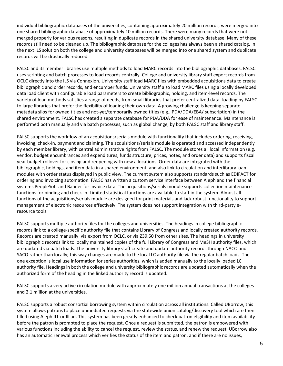individual bibliographic databases of the universities, containing approximately 20 million records, were merged into one shared bibliographic database of approximately 10 million records. There were many records that were not merged properly for various reasons, resulting in duplicate records in the shared university database. Many of these records still need to be cleaned up. The bibliographic database for the colleges has always been a shared catalog. In the next ILS solution both the college and university databases will be merged into one shared system and duplicate records will be drastically reduced.

FALSC and its member libraries use multiple methods to load MARC records into the bibliographic databases. FALSC uses scripting and batch processes to load records centrally. College and university library staff export records from OCLC directly into the ILS via Connexion. University staff load MARC files with embedded acquisitions data to create bibliographic and order records, and encumber funds. University staff also load MARC files using a locally developed data load client with configurable load parameters to create bibliographic, holding, and item-level records. The variety of load methods satisfies a range of needs, from small libraries that prefer centralized data- loading by FALSC to large libraries that prefer the flexibility of loading their own data. A growing challenge is keeping separate metadata silos for owned titles and not-yet/temporarily owned titles (e.g., PDA/DDA/EBA/ subscription) in the shared environment. FALSC has created a separate database for PDA/DDA for ease of maintenance. Maintenance is performed both manually and via batch processes, such as global change, by both FALSC staff and library staff.

FALSC supports the workflow of an acquisitions/serials module with functionality that includes ordering, receiving, invoicing, check-in, payment and claiming. The acquisitions/serials module is operated and accessed independently by each member library, with central administrative rights from FALSC. The module stores all local information (e.g. vendor, budget encumbrances and expenditures, funds structure, prices, notes, and order data) and supports fiscal year budget rollover for closing and reopening with new allocations. Order data are integrated with the bibliographic, holdings, and item data in a shared environment, and also link to circulation and interlibrary loan modules with order status displayed in public view. The current system also supports standards such as EDIFACT for ordering and invoicing automation. FALSC has written a custom service interface between Aleph and the financial systems PeopleSoft and Banner for invoice data. The acquisitions/serials module supports collection maintenance functions for binding and check-in. Limited statistical functions are available to staff in the system. Almost all functions of the acquisitions/serials module are designed for print materials and lack robust functionality to support management of electronic resources effectively. The system does not support integration with third-party eresource tools.

FALSC supports multiple authority files for the colleges and universities. The headings in college bibliographic records link to a college-specific authority file that contains Library of Congress and locally created authority records. Records are created manually, via export from OCLC, or via Z39.50 from other sites. The headings in university bibliographic records link to locally maintained copies of the full Library of Congress and MeSH authority files, which are updated via batch loads. The university library staff create and update authority records through NACO and SACO rather than locally; this way changes are made to the local LC authority file via the regular batch loads. The one exception is local use information for series authorities, which is added manually to the locally loaded LC authority file. Headings in both the college and university bibliographic records are updated automatically when the authorized form of the heading in the linked authority record is updated.

FALSC supports a very active circulation module with approximately one million annual transactions at the colleges and 2.1 million at the universities.

FALSC supports a robust consortial borrowing system within circulation across all institutions. Called UBorrow, this system allows patrons to place unmediated requests via the statewide union catalog/discovery tool which are then filled using Aleph ILL or Illiad. This system has been greatly enhanced to check patron eligibility and item availability before the patron is prompted to place the request. Once a request is submitted, the patron is empowered with various functions including the ability to cancel the request, review the status, and renew the request. UBorrow also has an automatic renewal process which verifies the status of the item and patron, and if there are no issues,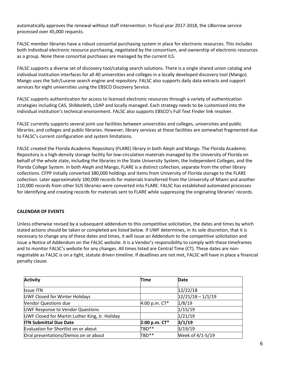automatically approves the renewal without staff intervention. In fiscal year 2017-2018, the UBorrow service processed over 45,000 requests.

FALSC member libraries have a robust consortial purchasing system in place for electronic resources. This includes both individual electronic resource purchasing, negotiated by the consortium, and ownership of electronic resources as a group. None these consortial purchases are managed by the current ILS.

FALSC supports a diverse set of discovery tool/catalog search solutions. There is a single shared union catalog and individual institution interfaces for all 40 universities and colleges in a locally developed discovery tool (Mango). Mango uses the Solr/Lucene search engine and repository. FALSC also supports daily data extracts and support services for eight universities using the EBSCO Discovery Service.

FALSC supports authentication for access to licensed electronic resources through a variety of authentication strategies including CAS, Shibboleth, LDAP and locally managed. Each strategy needs to be customized into the individual institution's technical environment. FALSC also supports EBSCO's Full Text Finder link resolver.

FALSC currently supports several joint-use facilities between universities and colleges, universities and public libraries, and colleges and public libraries. However, library services at these facilities are somewhat fragmented due to FALSC's current configuration and system limitations.

FALSC created the Florida Academic Repository (FLARE) library in both Aleph and Mango. The Florida Academic Repository is a high-density storage facility for low-circulation materials managed by the University of Florida on behalf of the whole state, including the libraries in the State University System, the Independent Colleges, and the Florida College System. In both Aleph and Mango, FLARE is a distinct collection, separate from the other library collections. CFPP initially converted 380,000 holdings and items from University of Florida storage to the FLARE collection. Later approximately 100,000 records for materials transferred from the University of Miami and another 110,000 records from other SUS libraries were converted into FLARE. FALSC has established automated processes for identifying and creating records for materials sent to FLARE while suppressing the originating libraries' records.

#### <span id="page-5-0"></span>**CALENDAR OF EVENTS**

Unless otherwise revised by a subsequent addendum to this competitive solicitation, the dates and times by which stated actions should be taken or completed are listed below. If UWF determines, in its sole discretion, that it is necessary to change any of these dates and times, it will issue an Addendum to the competitive solicitation and issue a Notice of Addendum on the FALSC website. It is a Vendor's responsibility to comply with these timeframes and to monitor FALSC's website for any changes. All times listed are Central Time (CT). These dates are nonnegotiable as FALSC is on a tight, statute driven timeline. If deadlines are not met, FALSC will have in place a financial penalty clause.

| <b>Activity</b>                                | <b>Time</b>   | Date                |
|------------------------------------------------|---------------|---------------------|
| <b>Issue ITN</b>                               |               | 12/22/18            |
| UWF Closed for Winter Holidays                 |               | $12/21/18 - 1/1/19$ |
| <b>Vendor Questions due</b>                    | 4:00 p.m. CT* | 1/8/19              |
| UWF Response to Vendor Questions               |               | 1/15/19             |
| UWF Closed for Martin Luther King, Jr. Holiday |               | 1/21/19             |
| <b>ITN Submittal Due Date</b>                  | 2:00 p.m. CT* | 3/1/19              |
| Evaluation for Shortlist on or about           | TBD**         | 3/19/19             |
| Oral presentations/Demos on or about           | TBD**         | Week of 4/1-5/19    |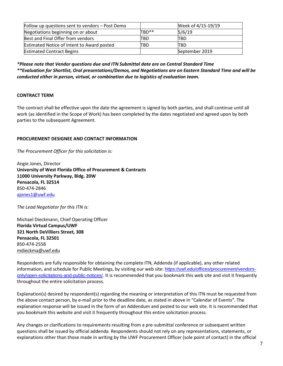| Follow up questions sent to vendors - Post Demo   |                   | Week of 4/15-19/19 |
|---------------------------------------------------|-------------------|--------------------|
| Negotiations beginning on or about                | TBD <sup>**</sup> | 5/6/19             |
| Best and Final Offer from vendors                 | ITBD              | TBD                |
| <b>Estimated Notice of Intent to Award posted</b> | TBD               | TBD                |
| <b>Estimated Contract Begins</b>                  |                   | September 2019     |

*\*Please note that Vendor questions due and ITN Submittal date are on Central Standard Time \*\*Evaluation for Shortlist, Oral presentations/Demos, and Negotiations are on Eastern Standard Time and will be conducted either in person, virtual, or combination due to logistics of evaluation team.*

#### <span id="page-6-0"></span>**CONTRACT TERM**

The contract shall be effective upon the date the agreement is signed by both parties, and shall continue until all work (as identified in the Scope of Work) has been completed by the dates negotiated and agreed upon by both parties to the subsequent Agreement.

#### **PROCUREMENT DESIGNEE AND CONTACT INFORMATION**

*The Procurement Officer for this solicitation is:*

Angie Jones, Director **University of West Florida Office of Procurement & Contracts 11000 University Parkway, Bldg. 20W Pensacola, FL 32514** 850-474-2846 [ajones1@uwf.edu](mailto:procurement@uwf.edu)

*The Lead Negotiator for this ITN is:*

Michael Dieckmann, Chief Operating Officer **Florida Virtual Campus/UWF 321 North DeVilliers Street, 308 Pensacola, FL 32501** 850-474-2558 [mdieckma@uwf.edu](mailto:mdieckma@uwf.edu)

Respondents are fully responsible for obtaining the complete ITN, Addenda (if applicable), any other related information, and schedule for Public Meetings, by visiting our web site: [https://uwf.edu/offices/procurement/vendors](https://uwf.edu/offices/procurement/vendors-only/open-solicitations-and-public-notices/)[only/open-solicitations-and-public-notices/.](https://uwf.edu/offices/procurement/vendors-only/open-solicitations-and-public-notices/) It is recommended that you bookmark this web site and visit it frequently throughout the entire solicitation process.

Explanation(s) desired by respondent(s) regarding the meaning or interpretation of this ITN must be requested from the above contact person, by e-mail prior to the deadline date, as stated in above in "Calendar of Events". The explanation response will be issued in the form of an Addendum and posted to our web site. It is recommended that you bookmark this website and visit it frequently throughout this entire solicitation process.

Any changes or clarifications to requirements resulting from a pre-submittal conference or subsequent written questions shall be issued by official addenda. Respondents should not rely on any representations, statements, or explanations other than those made in writing by the UWF Procurement Officer (sole point of contact) in the official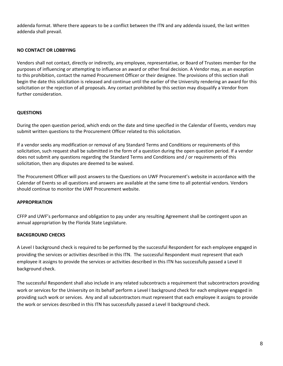addenda format. Where there appears to be a conflict between the ITN and any addenda issued, the last written addenda shall prevail.

#### <span id="page-7-0"></span>**NO CONTACT OR LOBBYING**

Vendors shall not contact, directly or indirectly, any employee, representative, or Board of Trustees member for the purposes of influencing or attempting to influence an award or other final decision. A Vendor may, as an exception to this prohibition, contact the named Procurement Officer or their designee. The provisions of this section shall begin the date this solicitation is released and continue until the earlier of the University rendering an award for this solicitation or the rejection of all proposals. Any contact prohibited by this section may disqualify a Vendor from further consideration.

#### <span id="page-7-1"></span>**QUESTIONS**

During the open question period, which ends on the date and time specified in the Calendar of Events, vendors may submit written questions to the Procurement Officer related to this solicitation.

If a vendor seeks any modification or removal of any Standard Terms and Conditions or requirements of this solicitation, such request shall be submitted in the form of a question during the open question period. If a vendor does not submit any questions regarding the Standard Terms and Conditions and / or requirements of this solicitation, then any disputes are deemed to be waived.

The Procurement Officer will post answers to the Questions on UWF Procurement's website in accordance with the Calendar of Events so all questions and answers are available at the same time to all potential vendors. Vendors should continue to monitor the UWF Procurement website.

#### **APPROPRIATION**

CFFP and UWF's performance and obligation to pay under any resulting Agreement shall be contingent upon an annual appropriation by the Florida State Legislature.

#### **BACKGROUND CHECKS**

A Level I background check is required to be performed by the successful Respondent for each employee engaged in providing the services or activities described in this ITN. The successful Respondent must represent that each employee it assigns to provide the services or activities described in this ITN has successfully passed a Level II background check.

<span id="page-7-2"></span>The successful Respondent shall also include in any related subcontracts a requirement that subcontractors providing work or services for the University on its behalf perform a Level I background check for each employee engaged in providing such work or services. Any and all subcontractors must represent that each employee it assigns to provide the work or services described in this ITN has successfully passed a Level II background check.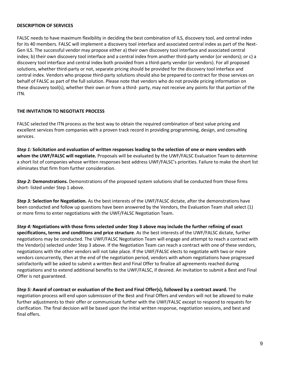#### **DESCRIPTION OF SERVICES**

FALSC needs to have maximum flexibility in deciding the best combination of ILS, discovery tool, and central index for its 40 members. FALSC will implement a discovery tool interface and associated central index as part of the Next-Gen ILS. The successful vendor may propose either a) their own discovery tool interface and associated central index; b) their own discovery tool interface and a central index from another third-party vendor (or vendors); or c) a discovery tool interface and central index both provided from a third-party vendor (or vendors). For all proposed solutions, whether third-party or not, separate pricing should be provided for the discovery tool interface and central index. Vendors who propose third-party solutions should also be prepared to contract for those services on behalf of FALSC as part of the full solution. Please note that vendors who do not provide pricing information on these discovery tool(s), whether their own or from a third- party, may not receive any points for that portion of the ITN.

#### <span id="page-8-0"></span>**THE INVITATION TO NEGOTIATE PROCESS**

FALSC selected the ITN process as the best way to obtain the required combination of best value pricing and excellent services from companies with a proven track record in providing programming, design, and consulting services.

*Step 1:* **Solicitation and evaluation of written responses leading to the selection of one or more vendors with whom the UWF/FALSC will negotiate.** Proposals will be evaluated by the UWF/FALSC Evaluation Team to determine a short list of companies whose written responses best address UWF/FALSC's priorities. Failure to make the short list eliminates that firm from further consideration.

*Step 2:* **Demonstrations.** Demonstrations of the proposed system solutions shall be conducted from those firms short- listed under Step 1 above.

*Step 3:* **Selection for Negotiation.** As the best interests of the UWF/FALSC dictate, after the demonstrations have been conducted and follow up questions have been answered by the Vendors, the Evaluation Team shall select (1) or more firms to enter negotiations with the UWF/FALSC Negotiation Team.

*Step 4:* **Negotiations with those firms selected under Step 3 above may include the further refining of exact specifications, terms and conditions and price structure**. As the best interests of the UWF/FALSC dictate, further negotiations may be conducted. The UWF/FALSC Negotiation Team will engage and attempt to reach a contract with the Vendor(s) selected under Step 3 above. If the Negotiation Team can reach a contract with one of these vendors, negotiations with the other vendors will not take place. If the UWF/FALSC elects to negotiate with two or more vendors concurrently, then at the end of the negotiation period, vendors with whom negotiations have progressed satisfactorily will be asked to submit a written Best and Final Offer to finalize all agreements reached during negotiations and to extend additional benefits to the UWF/FALSC, if desired. An invitation to submit a Best and Final Offer is not guaranteed.

*Step 5:* **Award of contract or evaluation of the Best and Final Offer(s), followed by a contract award.** The negotiation process will end upon submission of the Best and Final Offers and vendors will not be allowed to make further adjustments to their offer or communicate further with the UWF/FALSC except to respond to requests for clarification. The final decision will be based upon the initial written response, negotiation sessions, and best and final offers.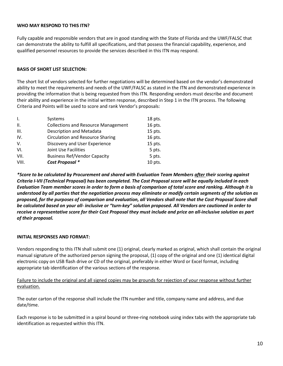#### <span id="page-9-0"></span>**WHO MAY RESPOND TO THIS ITN?**

Fully capable and responsible vendors that are in good standing with the State of Florida and the UWF/FALSC that can demonstrate the ability to fulfill all specifications, and that possess the financial capability, experience, and qualified personnel resources to provide the services described in this ITN may respond.

#### **BASIS OF SHORT LIST SELECTION:**

The short list of vendors selected for further negotiations will be determined based on the vendor's demonstrated ability to meet the requirements and needs of the UWF/FALSC as stated in the ITN and demonstrated experience in providing the information that is being requested from this ITN. Responding vendors must describe and document their ability and experience in the initial written response, described in Step 1 in the ITN process. The following Criteria and Points will be used to score and rank Vendor's proposals:

| $\mathsf{L}$ | Systems                                    | $18$ pts. |
|--------------|--------------------------------------------|-----------|
| Ш.           | <b>Collections and Resource Management</b> | 16 pts.   |
| III.         | <b>Description and Metadata</b>            | 15 pts.   |
| IV.          | <b>Circulation and Resource Sharing</b>    | 16 pts.   |
| V.           | Discovery and User Experience              | 15 pts.   |
| VI.          | Joint Use Facilities                       | 5 pts.    |
| VII.         | <b>Business Ref/Vendor Capacity</b>        | 5 pts.    |
| VIII.        | Cost Proposal *                            | 10 pts.   |

<span id="page-9-2"></span>*\*Score to be calculated by Procurement and shared with Evaluation Team Members after their scoring against Criteria I-VII (Technical Proposal) has been completed. The Cost Proposal score will be equally included in each Evaluation Team member scores in order to form a basis of comparison of total score and ranking. Although it is understood by all parties that the negotiation process may eliminate or modify certain segments of the solution as proposed, for the purposes of comparison and evaluation, all Vendors shall note that the Cost Proposal Score shall be calculated based on your all- inclusive or "turn-key" solution proposed. All Vendors are cautioned in order to receive a representative score for their Cost Proposal they must include and price an all-inclusive solution as part of their proposal.*

#### <span id="page-9-1"></span>**INITIAL RESPONSES AND FORMAT:**

Vendors responding to this ITN shall submit one (1) original, clearly marked as original, which shall contain the original manual signature of the authorized person signing the proposal, (1) copy of the original and one (1) identical digital electronic copy on USB flash drive or CD of the original, preferably in either Word or Excel format, including appropriate tab identification of the various sections of the response.

Failure to include the original and all signed copies may be grounds for rejection of your response without further evaluation.

The outer carton of the response shall include the ITN number and title, company name and address, and due date/time.

Each response is to be submitted in a spiral bound or three-ring notebook using index tabs with the appropriate tab identification as requested within this ITN.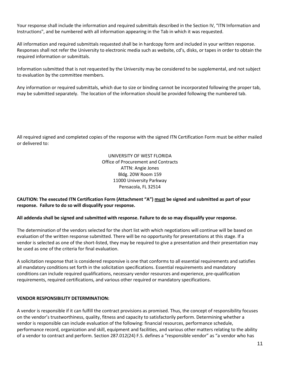Your response shall include the information and required submittals described in the Section IV, "ITN Information and Instructions", and be numbered with all information appearing in the Tab in which it was requested.

All information and required submittals requested shall be in hardcopy form and included in your written response. Responses shall not refer the University to electronic media such as website, cd's, disks, or tapes in order to obtain the required information or submittals.

Information submitted that is not requested by the University may be considered to be supplemental, and not subject to evaluation by the committee members.

Any information or required submittals, which due to size or binding cannot be incorporated following the proper tab, may be submitted separately. The location of the information should be provided following the numbered tab.

All required signed and completed copies of the response with the signed ITN Certification Form must be either mailed or delivered to:

> UNIVERSITY OF WEST FLORIDA Office of Procurement and Contracts ATTN: Angie Jones Bldg. 20W Room 159 11000 University Parkway Pensacola, FL 32514

#### **CAUTION: The executed ITN Certification Form (Attachment "A") must be signed and submitted as part of your response. Failure to do so will disqualify your response.**

#### **All addenda shall be signed and submitted with response. Failure to do so may disqualify your response.**

The determination of the vendors selected for the short list with which negotiations will continue will be based on evaluation of the written response submitted. There will be no opportunity for presentations at this stage. If a vendor is selected as one of the short-listed, they may be required to give a presentation and their presentation may be used as one of the criteria for final evaluation.

A solicitation response that is considered responsive is one that conforms to all essential requirements and satisfies all mandatory conditions set forth in the solicitation specifications. Essential requirements and mandatory conditions can include required qualifications, necessary vendor resources and experience, pre-qualification requirements, required certifications, and various other required or mandatory specifications.

#### <span id="page-10-0"></span>**VENDOR RESPONSIBILITY DETERMINATION:**

A vendor is responsible if it can fulfill the contract provisions as promised. Thus, the concept of responsibility focuses on the vendor's trustworthiness, quality, fitness and capacity to satisfactorily perform. Determining whether a vendor is responsible can include evaluation of the following: financial resources, performance schedule, performance record, organization and skill, equipment and facilities, and various other matters relating to the ability of a vendor to contract and perform. Section 287.012(24) F.S. defines a "responsible vendor" as "a vendor who has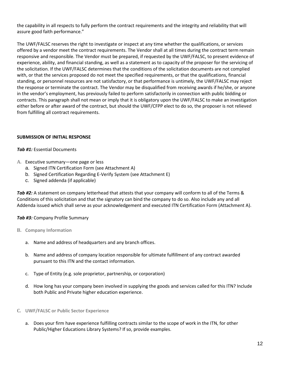the capability in all respects to fully perform the contract requirements and the integrity and reliability that will assure good faith performance."

The UWF/FALSC reserves the right to investigate or inspect at any time whether the qualifications, or services offered by a vendor meet the contract requirements. The Vendor shall at all times during the contract term remain responsive and responsible. The Vendor must be prepared, if requested by the UWF/FALSC, to present evidence of experience, ability, and financial standing, as well as a statement as to capacity of the proposer for the servicing of the solicitation. If the UWF/FALSC determines that the conditions of the solicitation documents are not complied with, or that the services proposed do not meet the specified requirements, or that the qualifications, financial standing, or personnel resources are not satisfactory, or that performance is untimely, the UWF/FALSC may reject the response or terminate the contract. The Vendor may be disqualified from receiving awards if he/she, or anyone in the vendor's employment, has previously failed to perform satisfactorily in connection with public bidding or contracts. This paragraph shall not mean or imply that it is obligatory upon the UWF/FALSC to make an investigation either before or after award of the contract, but should the UWF/CFPP elect to do so, the proposer is not relieved from fulfilling all contract requirements.

#### **SUBMISSION OF INITIAL RESPONSE**

#### *Tab #1:* Essential Documents

- **A.** Executive summary—one page or less
	- a. Signed ITN Certification Form (see Attachment A)
	- b. Signed Certification Regarding E-Verify System (see Attachment E)
	- c. Signed addenda (if applicable)

Tab #2: A statement on company letterhead that attests that your company will conform to all of the Terms & Conditions of this solicitation and that the signatory can bind the company to do so. Also include any and all Addenda issued which shall serve as your acknowledgement and executed ITN Certification Form (Attachment A).

#### *Tab #3:* Company Profile Summary

- **B. Company Information**
	- a. Name and address of headquarters and any branch offices.
	- b. Name and address of company location responsible for ultimate fulfillment of any contract awarded pursuant to this ITN and the contact information.
	- c. Type of Entity (e.g. sole proprietor, partnership, or corporation)
	- d. How long has your company been involved in supplying the goods and services called for this ITN? Include both Public and Private higher education experience.
- **C. UWF/FALSC or Public Sector Experience**
	- a. Does your firm have experience fulfilling contracts similar to the scope of work in the ITN, for other Public/Higher Educations Library Systems? If so, provide examples.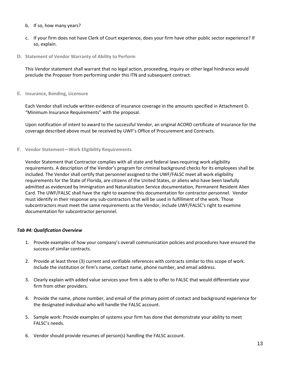- b. If so, how many years?
- c. If your firm does not have Clerk of Court experience, does your firm have other public sector experience? If so, explain.
- **D. Statement of Vendor Warranty of Ability to Perform**

This Vendor statement shall warrant that no legal action, proceeding, inquiry or other legal hindrance would preclude the Proposer from performing under this ITN and subsequent contract.

**E. Insurance, Bonding, Licensure**

Each Vendor shall include written evidence of insurance coverage in the amounts specified in Attachment D. "Minimum Insurance Requirements" with the proposal.

Upon notification of intent to award to the successful Vendor, an original ACORD certificate of Insurance for the coverage described above must be received by UWF's Office of Procurement and Contracts.

**F. Vendor Statement—Work Eligibility Requirements**

Vendor Statement that Contractor complies with all state and federal laws requiring work eligibility requirements. A description of the Vendor's program for criminal background checks for its employees shall be included. The Vendor shall certify that personnel assigned to the UWF/FALSC meet all work eligibility requirements for the State of Florida, are citizens of the United States, or aliens who have been lawfully admitted as evidenced by Immigration and Naturalization Service documentation, Permanent Resident Alien Card. The UWF/FALSC shall have the right to examine this documentation for contractor personnel. Vendor must identify in their response any sub-contractors that will be used in fulfillment of the work. Those subcontractors must meet the same requirements as the Vendor, include UWF/FALSC's right to examine documentation for subcontractor personnel.

#### *Tab #4: Qualification Overview*

- 1. Provide examples of how your company's overall communication policies and procedures have ensured the success of similar contracts.
- 2. Provide at least three (3) current and verifiable references with contracts similar to this scope of work. Include the institution or firm's name, contact name, phone number, and email address.
- 3. Clearly explain with added value services your firm is able to offer to FALSC that would differentiate your firm from other providers.
- 4. Provide the name, phone number, and email of the primary point of contact and background experience for the designated individual who will handle the FALSC account.
- 5. Sample work: Provide examples of systems your firm has done that demonstrate your ability to meet FALSC's needs.
- 6. Vendor should provide resumes of person(s) handling the FALSC account.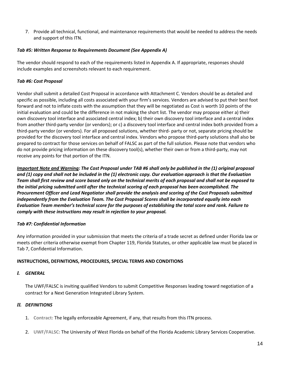7. Provide all technical, functional, and maintenance requirements that would be needed to address the needs and support of this ITN.

#### <span id="page-13-0"></span>*Tab #5: Written Response to Requirements Document (See Appendix A)*

The vendor should respond to each of the requirements listed in Appendix A. If appropriate, responses should include examples and screenshots relevant to each requirement.

#### *Tab #6: Cost Proposal*

Vendor shall submit a detailed Cost Proposal in accordance with Attachment C. Vendors should be as detailed and specific as possible, including all costs associated with your firm's services. Vendors are advised to put their best foot forward and not to inflate costs with the assumption that they will be negotiated as Cost is worth 10 points of the initial evaluation and could be the difference in not making the short list. The vendor may propose either a) their own discovery tool interface and associated central index; b) their own discovery tool interface and a central index from another third-party vendor (or vendors); or c) a discovery tool interface and central index both provided from a third-party vendor (or vendors). For all proposed solutions, whether third- party or not, separate pricing should be provided for the discovery tool interface and central index. Vendors who propose third-party solutions shall also be prepared to contract for those services on behalf of FALSC as part of the full solution. Please note that vendors who do not provide pricing information on these discovery tool(s), whether their own or from a third-party, may not receive any points for that portion of the ITN.

*Important Note and Warning: The Cost Proposal under TAB #6 shall only be published in the (1) original proposal and (1) copy and shall not be included in the (1) electronic copy. Our evaluation approach is that the Evaluation Team shall first review and score based only on the technical merits of each proposal and shall not be exposed to the initial pricing submitted until after the technical scoring of each proposal has been accomplished. The Procurement Officer and Lead Negotiator shall provide the analysis and scoring of the Cost Proposals submitted independently from the Evaluation Team. The Cost Proposal Scores shall be incorporated equally into each Evaluation Team member's technical score for the purposes of establishing the total score and rank. Failure to comply with these instructions may result in rejection to your proposal.*

#### *Tab #7: Confidential Information*

Any information provided in your submission that meets the criteria of a trade secret as defined under Florida law or meets other criteria otherwise exempt from Chapter 119, Florida Statutes, or other applicable law must be placed in Tab 7, Confidential Information.

#### **INSTRUCTIONS, DEFINITIONS, PROCEDURES, SPECIAL TERMS AND CONDITIONS**

#### *I. GENERAL*

The UWF/FALSC is inviting qualified Vendors to submit Competitive Responses leading toward negotiation of a contract for a Next Generation Integrated Library System.

#### *II. DEFINITIONS*

- 1. **Contract:** The legally enforceable Agreement, if any, that results from this ITN process.
- 2. **UWF/FALSC:** The University of West Florida on behalf of the Florida Academic Library Services Cooperative.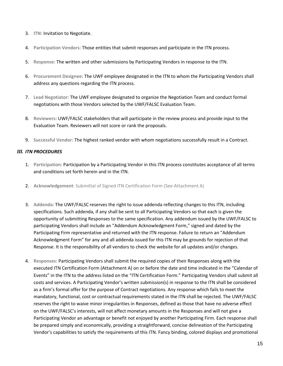- 3. **ITN:** Invitation to Negotiate.
- 4. **Participation Vendors:** Those entities that submit responses and participate in the ITN process.
- 5. **Response:** The written and other submissions by Participating Vendors in response to the ITN.
- 6. **Procurement Designee:** The UWF employee designated in the ITN to whom the Participating Vendors shall address any questions regarding the ITN process.
- 7. **Lead Negotiator:** The UWF employee designated to organize the Negotiation Team and conduct formal negotiations with those Vendors selected by the UWF/FALSC Evaluation Team.
- 8. **Reviewers:** UWF/FALSC stakeholders that will participate in the review process and provide input to the Evaluation Team. Reviewers will not score or rank the proposals.
- 9. **Successful Vendor:** The highest ranked vendor with whom negotiations successfully result in a Contract.

#### *III. ITN PROCEDURES*

- 1. **Participation:** Participation by a Participating Vendor in this ITN process constitutes acceptance of all terms and conditions set forth herein and in the ITN.
- 2. **Acknowledgement**: Submittal of Signed ITN Certification Form (See Attachment A)
- 3. **Addenda:** The UWF/FALSC reserves the right to issue addenda reflecting changes to this ITN, including specifications. Such addenda, if any shall be sent to all Participating Vendors so that each is given the opportunity of submitting Responses to the same specification. Any addendum issued by the UWF/FALSC to participating Vendors shall include an "Addendum Acknowledgment Form," signed and dated by the Participating Firm representative and returned with the ITN response. Failure to return an "Addendum Acknowledgment Form" for any and all addenda issued for this ITN may be grounds for rejection of that Response. It is the responsibility of all vendors to check the website for all updates and/or changes.
- 4. **Responses:** Participating Vendors shall submit the required copies of their Responses along with the executed ITN Certification Form (Attachment A) on or before the date and time indicated in the "Calendar of Events" in the ITN to the address listed on the "ITN Certification Form." Participating Vendors shall submit all costs and services. A Participating Vendor's written submission(s) in response to the ITN shall be considered as a firm's formal offer for the purpose of Contract negotiations. Any response which fails to meet the mandatory, functional, cost or contractual requirements stated in the ITN shall be rejected. The UWF/FALSC reserves the right to waive minor irregularities in Responses, defined as those that have no adverse effect on the UWF/FALSC's interests, will not affect monetary amounts in the Responses and will not give a Participating Vendor an advantage or benefit not enjoyed by another Participating Firm. Each response shall be prepared simply and economically, providing a straightforward, concise delineation of the Participating Vendor's capabilities to satisfy the requirements of this ITN. Fancy binding, colored displays and promotional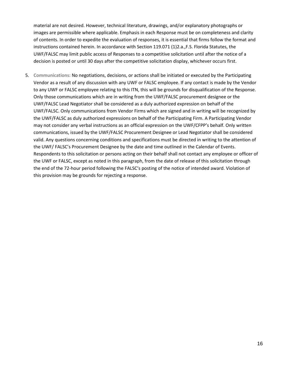material are not desired. However, technical literature, drawings, and/or explanatory photographs or images are permissible where applicable. Emphasis in each Response must be on completeness and clarity of contents. In order to expedite the evaluation of responses, it is essential that firms follow the format and instructions contained herein. In accordance with Section 119.071 (1)2.a.,F.S. Florida Statutes, the UWF/FALSC may limit public access of Responses to a competitive solicitation until after the notice of a decision is posted or until 30 days after the competitive solicitation display, whichever occurs first.

5. **Communications:** No negotiations, decisions, or actions shall be initiated or executed by the Participating Vendor as a result of any discussion with any UWF or FALSC employee. If any contact is made by the Vendor to any UWF or FALSC employee relating to this ITN, this will be grounds for disqualification of the Response. Only those communications which are in writing from the UWF/FALSC procurement designee or the UWF/FALSC Lead Negotiator shall be considered as a duly authorized expression on behalf of the UWF/FALSC. Only communications from Vendor Firms which are signed and in writing will be recognized by the UWF/FALSC as duly authorized expressions on behalf of the Participating Firm. A Participating Vendor may not consider any verbal instructions as an official expression on the UWF/CFPP's behalf. Only written communications, issued by the UWF/FALSC Procurement Designee or Lead Negotiator shall be considered valid. Any questions concerning conditions and specifications must be directed in writing to the attention of the UWF/ FALSC's Procurement Designee by the date and time outlined in the Calendar of Events. Respondents to this solicitation or persons acting on their behalf shall not contact any employee or officer of the UWF or FALSC, except as noted in this paragraph, from the date of release of this solicitation through the end of the 72-hour period following the FALSC's posting of the notice of intended award. Violation of this provision may be grounds for rejecting a response.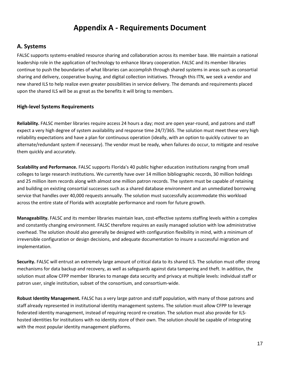### **Appendix A - Requirements Document**

#### **A. Systems**

FALSC supports systems-enabled resource sharing and collaboration across its member base. We maintain a national leadership role in the application of technology to enhance library cooperation. FALSC and its member libraries continue to push the boundaries of what libraries can accomplish through shared systems in areas such as consortial sharing and delivery, cooperative buying, and digital collection initiatives. Through this ITN, we seek a vendor and new shared ILS to help realize even greater possibilities in service delivery. The demands and requirements placed upon the shared ILS will be as great as the benefits it will bring to members.

#### **High-level Systems Requirements**

**Reliability.** FALSC member libraries require access 24 hours a day; most are open year-round, and patrons and staff expect a very high degree of system availability and response time 24/7/365. The solution must meet these very high reliability expectations and have a plan for continuous operation (ideally, with an option to quickly cutover to an alternate/redundant system if necessary). The vendor must be ready, when failures do occur, to mitigate and resolve them quickly and accurately.

**Scalability and Performance.** FALSC supports Florida's 40 public higher education institutions ranging from small colleges to large research institutions. We currently have over 14 million bibliographic records, 30 million holdings and 25 million item records along with almost one million patron records. The system must be capable of retaining and building on existing consortial successes such as a shared database environment and an unmediated borrowing service that handles over 40,000 requests annually. The solution must successfully accommodate this workload across the entire state of Florida with acceptable performance and room for future growth.

**Manageability.** FALSC and its member libraries maintain lean, cost-effective systems staffing levels within a complex and constantly changing environment. FALSC therefore requires an easily managed solution with low administrative overhead. The solution should also generally be designed with configuration flexibility in mind, with a minimum of irreversible configuration or design decisions, and adequate documentation to insure a successful migration and implementation.

**Security.** FALSC will entrust an extremely large amount of critical data to its shared ILS. The solution must offer strong mechanisms for data backup and recovery, as well as safeguards against data tampering and theft. In addition, the solution must allow CFPP member libraries to manage data security and privacy at multiple levels: individual staff or patron user, single institution, subset of the consortium, and consortium-wide.

**Robust Identity Management.** FALSC has a very large patron and staff population, with many of those patrons and staff already represented in institutional identity management systems. The solution must allow CFPP to leverage federated identity management, instead of requiring record re-creation. The solution must also provide for ILShosted identities for institutions with no identity store of their own. The solution should be capable of integrating with the most popular identity management platforms.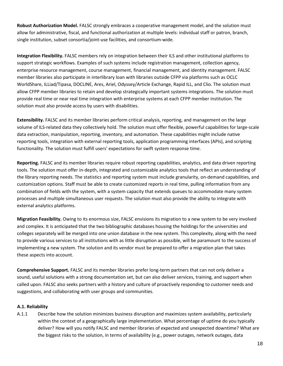**Robust Authorization Model.** FALSC strongly embraces a cooperative management model, and the solution must allow for administrative, fiscal, and functional authorization at multiple levels: individual staff or patron, branch, single institution, subset consortia/joint-use facilities, and consortium-wide.

**Integration Flexibility.** FALSC members rely on integration between their ILS and other institutional platforms to support strategic workflows. Examples of such systems include registration management, collection agency, enterprise resource management, course management, financial management, and identity management. FALSC member libraries also participate in interlibrary loan with libraries outside CFPP via platforms such as OCLC WorldShare, ILLiad/Tipasa, DOCLINE, Ares, Ariel, Odyssey/Article Exchange, Rapid ILL, and Clio. The solution must allow CFPP member libraries to retain and develop strategically important systems integrations. The solution must provide real time or near real time integration with enterprise systems at each CFPP member institution. The solution must also provide access by users with disabilities.

**Extensibility.** FALSC and its member libraries perform critical analysis, reporting, and management on the large volume of ILS-related data they collectively hold. The solution must offer flexible, powerful capabilities for large-scale data extraction, manipulation, reporting, inventory, and automation. These capabilities might include native reporting tools, integration with external reporting tools, application programming interfaces (APIs), and scripting functionality. The solution must fulfill users' expectations for swift system response time.

**Reporting.** FALSC and its member libraries require robust reporting capabilities, analytics, and data driven reporting tools. The solution must offer in-depth, integrated and customizable analytics tools that reflect an understanding of the library reporting needs. The statistics and reporting system must include granularity, on-demand capabilities, and customization options. Staff must be able to create customized reports in real time, pulling information from any combination of fields with the system, with a system capacity that extends queues to accommodate many system processes and multiple simultaneous user requests. The solution must also provide the ability to integrate with external analytics platforms.

**Migration Feasibility.** Owing to its enormous size, FALSC envisions its migration to a new system to be very involved and complex. It is anticipated that the two bibliographic databases housing the holdings for the universities and colleges separately will be merged into one union database in the new system. This complexity, along with the need to provide various services to all institutions with as little disruption as possible, will be paramount to the success of implementing a new system. The solution and its vendor must be prepared to offer a migration plan that takes these aspects into account.

**Comprehensive Support.** FALSC and its member libraries prefer long-term partners that can not only deliver a sound, useful solutions with a strong documentation set, but can also deliver services, training, and support when called upon. FALSC also seeks partners with a history and culture of proactively responding to customer needs and suggestions, and collaborating with user groups and communities.

#### **A.1. Reliability**

A.1.1 Describe how the solution minimizes business disruption and maximizes system availability, particularly within the context of a geographically large implementation. What percentage of uptime do you typically deliver? How will you notify FALSC and member libraries of expected and unexpected downtime? What are the biggest risks to the solution, in terms of availability (e.g., power outages, network outages, data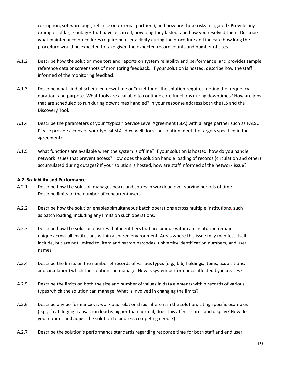corruption, software bugs, reliance on external partners), and how are these risks mitigated? Provide any examples of large outages that have occurred, how long they lasted, and how you resolved them. Describe what maintenance procedures require no user activity during the procedure and indicate how long the procedure would be expected to take given the expected record counts and number of sites.

- A.1.2 Describe how the solution monitors and reports on system reliability and performance, and provides sample reference data or screenshots of monitoring feedback. If your solution is hosted, describe how the staff informed of the monitoring feedback.
- A.1.3 Describe what kind of scheduled downtime or "quiet time" the solution requires, noting the frequency, duration, and purpose. What tools are available to continue core functions during downtimes? How are jobs that are scheduled to run during downtimes handled? In your response address both the ILS and the Discovery Tool.
- A.1.4 Describe the parameters of your "typical" Service Level Agreement (SLA) with a large partner such as FALSC. Please provide a copy of your typical SLA. How well does the solution meet the targets specified in the agreement?
- A.1.5 What functions are available when the system is offline? If your solution is hosted, how do you handle network issues that prevent access? How does the solution handle loading of records (circulation and other) accumulated during outages? If your solution is hosted, how are staff informed of the network issue?

#### **A.2. Scalability and Performance**

- A.2.1 Describe how the solution manages peaks and spikes in workload over varying periods of time. Describe limits to the number of concurrent users.
- A.2.2 Describe how the solution enables simultaneous batch operations across multiple institutions, such as batch loading, including any limits on such operations.
- A.2.3 Describe how the solution ensures that identifiers that are unique within an institution remain unique across all institutions within a shared environment. Areas where this issue may manifest itself include, but are not limited to, item and patron barcodes, university identification numbers, and user names.
- A.2.4 Describe the limits on the number of records of various types (e.g., bib, holdings, items, acquisitions, and circulation) which the solution can manage. How is system performance affected by increases?
- A.2.5 Describe the limits on both the size and number of values in data elements within records of various types which the solution can manage. What is involved in changing the limits?
- A.2.6 Describe any performance vs. workload relationships inherent in the solution, citing specific examples (e.g., if cataloging transaction load is higher than normal, does this affect search and display? How do you monitor and adjust the solution to address competing needs?)
- A.2.7 Describe the solution's performance standards regarding response time for both staff and end user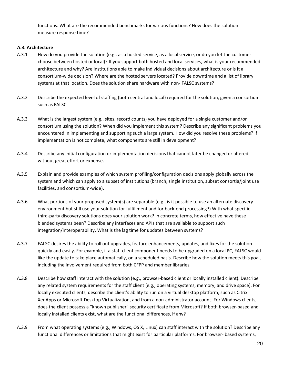functions. What are the recommended benchmarks for various functions? How does the solution measure response time?

#### **A.3. Architecture**

- A.3.1 How do you provide the solution (e.g., as a hosted service, as a local service, or do you let the customer choose between hosted or local)? If you support both hosted and local services, what is your recommended architecture and why? Are institutions able to make individual decisions about architecture or is it a consortium-wide decision? Where are the hosted servers located? Provide downtime and a list of library systems at that location. Does the solution share hardware with non- FALSC systems?
- A.3.2 Describe the expected level of staffing (both central and local) required for the solution, given a consortium such as FALSC.
- A.3.3 What is the largest system (e.g., sites, record counts) you have deployed for a single customer and/or consortium using the solution? When did you implement this system? Describe any significant problems you encountered in implementing and supporting such a large system. How did you resolve these problems? If implementation is not complete, what components are still in development?
- A.3.4 Describe any initial configuration or implementation decisions that cannot later be changed or altered without great effort or expense.
- A.3.5 Explain and provide examples of which system profiling/configuration decisions apply globally across the system and which can apply to a subset of institutions (branch, single institution, subset consortia/joint use facilities, and consortium-wide).
- A.3.6 What portions of your proposed system(s) are separable (e.g., is it possible to use an alternate discovery environment but still use your solution for fulfillment and for back-end processing?) With what specific third-party discovery solutions does your solution work? In concrete terms, how effective have these blended systems been? Describe any interfaces and APIs that are available to support such integration/interoperability. What is the lag time for updates between systems?
- A.3.7 FALSC desires the ability to roll out upgrades, feature enhancements, updates, and fixes for the solution quickly and easily. For example, if a staff client component needs to be upgraded on a local PC, FALSC would like the update to take place automatically, on a scheduled basis. Describe how the solution meets this goal, including the involvement required from both CFPP and member libraries.
- A.3.8 Describe how staff interact with the solution (e.g., browser-based client or locally installed client). Describe any related system requirements for the staff client (e.g., operating systems, memory, and drive space). For locally executed clients, describe the client's ability to run on a virtual desktop platform, such as Citrix XenApps or Microsoft Desktop Virtualization, and from a non-administrator account. For Windows clients, does the client possess a "known publisher" security certificate from Microsoft? If both browser-based and locally installed clients exist, what are the functional differences, if any?
- A.3.9 From what operating systems (e.g., Windows, OS X, Linux) can staff interact with the solution? Describe any functional differences or limitations that might exist for particular platforms. For browser- based systems,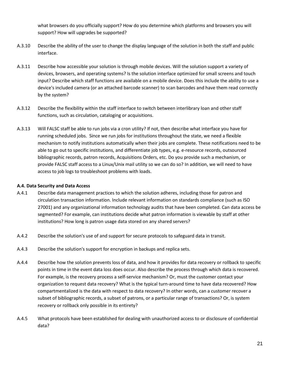what browsers do you officially support? How do you determine which platforms and browsers you will support? How will upgrades be supported?

- A.3.10 Describe the ability of the user to change the display language of the solution in both the staff and public interface.
- A.3.11 Describe how accessible your solution is through mobile devices. Will the solution support a variety of devices, browsers, and operating systems? Is the solution interface optimized for small screens and touch input? Describe which staff functions are available on a mobile device. Does this include the ability to use a device's included camera (or an attached barcode scanner) to scan barcodes and have them read correctly by the system?
- A.3.12 Describe the flexibility within the staff interface to switch between interlibrary loan and other staff functions, such as circulation, cataloging or acquisitions.
- A.3.13 Will FALSC staff be able to run jobs via a cron utility? If not, then describe what interface you have for running scheduled jobs. Since we run jobs for institutions throughout the state, we need a flexible mechanism to notify institutions automatically when their jobs are complete. These notifications need to be able to go out to specific institutions, and differentiate job types, e.g. e-resource records, outsourced bibliographic records, patron records, Acquisitions Orders, etc. Do you provide such a mechanism, or provide FALSC staff access to a Linux/Unix mail utility so we can do so? In addition, we will need to have access to job logs to troubleshoot problems with loads.

#### **A.4. Data Security and Data Access**

- A.4.1 Describe data management practices to which the solution adheres, including those for patron and circulation transaction information. Include relevant information on standards compliance (such as ISO 27001) and any organizational information technology audits that have been completed. Can data access be segmented? For example, can institutions decide what patron information is viewable by staff at other institutions? How long is patron usage data stored on any shared servers?
- A.4.2 Describe the solution's use of and support for secure protocols to safeguard data in transit.
- A.4.3 Describe the solution's support for encryption in backups and replica sets.
- A.4.4 Describe how the solution prevents loss of data, and how it provides for data recovery or rollback to specific points in time in the event data loss does occur. Also describe the process through which data is recovered. For example, is the recovery process a self-service mechanism? Or, must the customer contact your organization to request data recovery? What is the typical turn-around time to have data recovered? How compartmentalized is the data with respect to data recovery? In other words, can a customer recover a subset of bibliographic records, a subset of patrons, or a particular range of transactions? Or, is system recovery or rollback only possible in its entirety?
- A.4.5 What protocols have been established for dealing with unauthorized access to or disclosure of confidential data?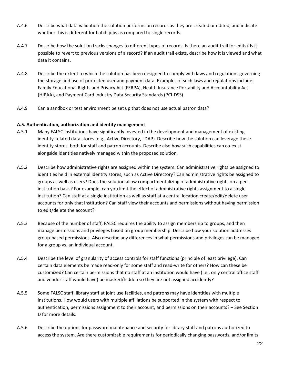- A.4.6 Describe what data validation the solution performs on records as they are created or edited, and indicate whether this is different for batch jobs as compared to single records.
- A.4.7 Describe how the solution tracks changes to different types of records. Is there an audit trail for edits? Is it possible to revert to previous versions of a record? If an audit trail exists, describe how it is viewed and what data it contains.
- A.4.8 Describe the extent to which the solution has been designed to comply with laws and regulations governing the storage and use of protected user and payment data. Examples of such laws and regulations include: Family Educational Rights and Privacy Act (FERPA), Health Insurance Portability and Accountability Act (HIPAA), and Payment Card Industry Data Security Standards (PCI-DSS).
- A.4.9 Can a sandbox or test environment be set up that does not use actual patron data?

#### **A.5. Authentication, authorization and identity management**

- A.5.1 Many FALSC institutions have significantly invested in the development and management of existing identity-related data stores (e.g., Active Directory, LDAP). Describe how the solution can leverage these identity stores, both for staff and patron accounts. Describe also how such capabilities can co-exist alongside identities natively managed within the proposed solution.
- A.5.2 Describe how administrative rights are assigned within the system. Can administrative rights be assigned to identities held in external identity stores, such as Active Directory? Can administrative rights be assigned to groups as well as users? Does the solution allow compartmentalizing of administrative rights on a perinstitution basis? For example, can you limit the effect of administrative rights assignment to a single institution? Can staff at a single institution as well as staff at a central location create/edit/delete user accounts for only that institution? Can staff view their accounts and permissions without having permission to edit/delete the account?
- A.5.3 Because of the number of staff, FALSC requires the ability to assign membership to groups, and then manage permissions and privileges based on group membership. Describe how your solution addresses group-based permissions. Also describe any differences in what permissions and privileges can be managed for a group vs. an individual account.
- A.5.4 Describe the level of granularity of access controls for staff functions (principle of least privilege). Can certain data elements be made read-only for some staff and read-write for others? How can these be customized? Can certain permissions that no staff at an institution would have (i.e., only central office staff and vendor staff would have) be masked/hidden so they are not assigned accidently?
- A.5.5 Some FALSC staff, library staff at joint use facilities, and patrons may have identities with multiple institutions. How would users with multiple affiliations be supported in the system with respect to authentication, permissions assignment to their account, and permissions on their accounts? – See Section D for more details.
- A.5.6 Describe the options for password maintenance and security for library staff and patrons authorized to access the system. Are there customizable requirements for periodically changing passwords, and/or limits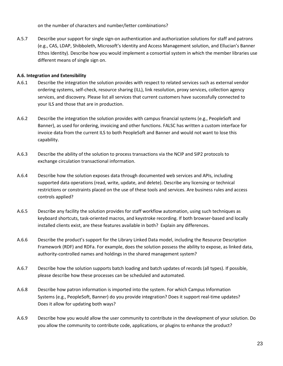on the number of characters and number/letter combinations?

A.5.7 Describe your support for single sign-on authentication and authorization solutions for staff and patrons (e.g., CAS, LDAP, Shibboleth, Microsoft's Identity and Access Management solution, and Ellucian's Banner Ethos Identity). Describe how you would implement a consortial system in which the member libraries use different means of single sign on.

#### **A.6. Integration and Extensibility**

- A.6.1 Describe the integration the solution provides with respect to related services such as external vendor ordering systems, self-check, resource sharing (ILL), link resolution, proxy services, collection agency services, and discovery. Please list all services that current customers have successfully connected to your ILS and those that are in production.
- A.6.2 Describe the integration the solution provides with campus financial systems (e.g., PeopleSoft and Banner), as used for ordering, invoicing and other functions. FALSC has written a custom interface for invoice data from the current ILS to both PeopleSoft and Banner and would not want to lose this capability.
- A.6.3 Describe the ability of the solution to process transactions via the NCIP and SIP2 protocols to exchange circulation transactional information.
- A.6.4 Describe how the solution exposes data through documented web services and APIs, including supported data operations (read, write, update, and delete). Describe any licensing or technical restrictions or constraints placed on the use of these tools and services. Are business rules and access controls applied?
- A.6.5 Describe any facility the solution provides for staff workflow automation, using such techniques as keyboard shortcuts, task-oriented macros, and keystroke recording. If both browser-based and locally installed clients exist, are these features available in both? Explain any differences.
- A.6.6 Describe the product's support for the Library Linked Data model, including the Resource Description Framework (RDF) and RDFa. For example, does the solution possess the ability to expose, as linked data, authority-controlled names and holdings in the shared management system?
- A.6.7 Describe how the solution supports batch loading and batch updates of records (all types). If possible, please describe how these processes can be scheduled and automated.
- A.6.8 Describe how patron information is imported into the system. For which Campus Information Systems (e.g., PeopleSoft, Banner) do you provide integration? Does it support real-time updates? Does it allow for updating both ways?
- A.6.9 Describe how you would allow the user community to contribute in the development of your solution. Do you allow the community to contribute code, applications, or plugins to enhance the product?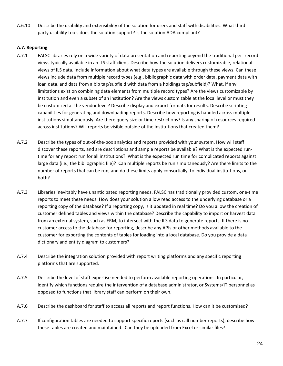A.6.10 Describe the usability and extensibility of the solution for users and staff with disabilities. What thirdparty usability tools does the solution support? Is the solution ADA compliant?

#### **A.7. Reporting**

- A.7.1 FALSC libraries rely on a wide variety of data presentation and reporting beyond the traditional per- record views typically available in an ILS staff client. Describe how the solution delivers customizable, relational views of ILS data. Include information about what data types are available through these views. Can these views include data from multiple record types (e.g., bibliographic data with order data, payment data with loan data, and data from a bib tag/subfield with data from a holdings tag/subfield)? What, if any, limitations exist on combining data elements from multiple record types? Are the views customizable by institution and even a subset of an institution? Are the views customizable at the local level or must they be customized at the vendor level? Describe display and export formats for results. Describe scripting capabilities for generating and downloading reports. Describe how reporting is handled across multiple institutions simultaneously. Are there query size or time restrictions? Is any sharing of resources required across institutions? Will reports be visible outside of the institutions that created them?
- A.7.2 Describe the types of out-of-the-box analytics and reports provided with your system. How will staff discover these reports, and are descriptions and sample reports be available? What is the expected runtime for any report run for all institutions? What is the expected run time for complicated reports against large data (i.e., the bibliographic file)? Can multiple reports be run simultaneously? Are there limits to the number of reports that can be run, and do these limits apply consortially, to individual institutions, or both?
- A.7.3 Libraries inevitably have unanticipated reporting needs. FALSC has traditionally provided custom, one-time reports to meet these needs. How does your solution allow read access to the underlying database or a reporting copy of the database? If a reporting copy, is it updated in real time? Do you allow the creation of customer defined tables and views within the database? Describe the capability to import or harvest data from an external system, such as ERM, to intersect with the ILS data to generate reports. If there is no customer access to the database for reporting, describe any APIs or other methods available to the customer for exporting the contents of tables for loading into a local database. Do you provide a data dictionary and entity diagram to customers?
- A.7.4 Describe the integration solution provided with report writing platforms and any specific reporting platforms that are supported.
- A.7.5 Describe the level of staff expertise needed to perform available reporting operations. In particular, identify which functions require the intervention of a database administrator, or Systems/IT personnel as opposed to functions that library staff can perform on their own.
- A.7.6 Describe the dashboard for staff to access all reports and report functions. How can it be customized?
- A.7.7 If configuration tables are needed to support specific reports (such as call number reports), describe how these tables are created and maintained. Can they be uploaded from Excel or similar files?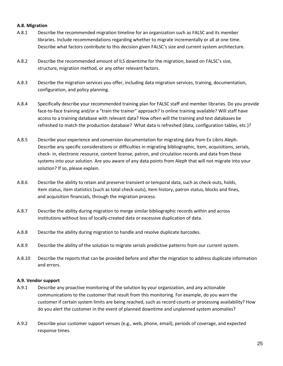#### **A.8. Migration**

- A.8.1 Describe the recommended migration timeline for an organization such as FALSC and its member libraries. Include recommendations regarding whether to migrate incrementally or all at one time. Describe what factors contribute to this decision given FALSC's size and current system architecture.
- A.8.2 Describe the recommended amount of ILS downtime for the migration, based on FALSC's size, structure, migration method, or any other relevant factors.
- A.8.3 Describe the migration services you offer, including data migration services, training, documentation, configuration, and policy planning.
- A.8.4 Specifically describe your recommended training plan for FALSC staff and member libraries. Do you provide face-to-face training and/or a "train the trainer" approach? Is online training available? Will staff have access to a training database with relevant data? How often will the training and test databases be refreshed to match the production database? What data is refreshed (data, configuration tables, etc.)?
- A.8.5 Describe your experience and conversion documentation for migrating data from Ex Libris Aleph. Describe any specific considerations or difficulties in migrating bibliographic, item, acquisitions, serials, check- in, electronic resource, content license, patron, and circulation records and data from these systems into your solution. Are you aware of any data points from Aleph that will not migrate into your solution? If so, please explain.
- A.8.6 Describe the ability to retain and preserve transient or temporal data, such as check-outs, holds, item status, item statistics (such as total check-outs), item history, patron status, blocks and fines, and acquisition financials, through the migration process.
- A.8.7 Describe the ability during migration to merge similar bibliographic records within and across institutions without loss of locally-created data or excessive duplication of data.
- A.8.8 Describe the ability during migration to handle and resolve duplicate barcodes.
- A.8.9 Describe the ability of the solution to migrate serials predictive patterns from our current system.
- A.8.10 Describe the reports that can be provided before and after the migration to address duplicate information and errors.

#### **A.9. Vendor support**

- A.9.1 Describe any proactive monitoring of the solution by your organization, and any actionable communications to the customer that result from this monitoring. For example, do you warn the customer if certain system limits are being reached, such as record counts or processing availability? How do you alert the customer in the event of planned downtime and unplanned system anomalies?
- A.9.2 Describe your customer support venues (e.g., web, phone, email), periods of coverage, and expected response times.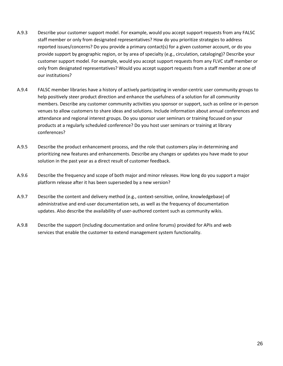- A.9.3 Describe your customer support model. For example, would you accept support requests from any FALSC staff member or only from designated representatives? How do you prioritize strategies to address reported issues/concerns? Do you provide a primary contact(s) for a given customer account, or do you provide support by geographic region, or by area of specialty (e.g., circulation, cataloging)? Describe your customer support model. For example, would you accept support requests from any FLVC staff member or only from designated representatives? Would you accept support requests from a staff member at one of our institutions?
- A.9.4 FALSC member libraries have a history of actively participating in vendor-centric user community groups to help positively steer product direction and enhance the usefulness of a solution for all community members. Describe any customer community activities you sponsor or support, such as online or in-person venues to allow customers to share ideas and solutions. Include information about annual conferences and attendance and regional interest groups. Do you sponsor user seminars or training focused on your products at a regularly scheduled conference? Do you host user seminars or training at library conferences?
- A.9.5 Describe the product enhancement process, and the role that customers play in determining and prioritizing new features and enhancements. Describe any changes or updates you have made to your solution in the past year as a direct result of customer feedback.
- A.9.6 Describe the frequency and scope of both major and minor releases. How long do you support a major platform release after it has been superseded by a new version?
- A.9.7 Describe the content and delivery method (e.g., context-sensitive, online, knowledgebase) of administrative and end-user documentation sets, as well as the frequency of documentation updates. Also describe the availability of user-authored content such as community wikis.
- A.9.8 Describe the support (including documentation and online forums) provided for APIs and web services that enable the customer to extend management system functionality.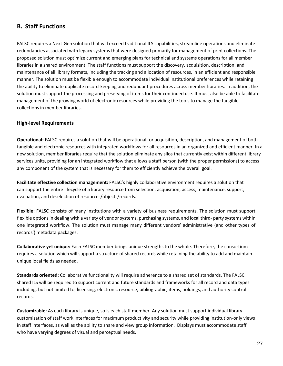#### **B. Staff Functions**

FALSC requires a Next-Gen solution that will exceed traditional ILS capabilities, streamline operations and eliminate redundancies associated with legacy systems that were designed primarily for management of print collections. The proposed solution must optimize current and emerging plans for technical and systems operations for all member libraries in a shared environment. The staff functions must support the discovery, acquisition, description, and maintenance of all library formats, including the tracking and allocation of resources, in an efficient and responsible manner. The solution must be flexible enough to accommodate individual institutional preferences while retaining the ability to eliminate duplicate record-keeping and redundant procedures across member libraries. In addition, the solution must support the processing and preserving of items for their continued use. It must also be able to facilitate management of the growing world of electronic resources while providing the tools to manage the tangible collections in member libraries.

#### **High-level Requirements**

**Operational:** FALSC requires a solution that will be operational for acquisition, description, and management of both tangible and electronic resources with integrated workflows for all resources in an organized and efficient manner. In a new solution, member libraries require that the solution eliminate any silos that currently exist within different library services units, providing for an integrated workflow that allows a staff person (with the proper permissions) to access any component of the system that is necessary for them to efficiently achieve the overall goal.

**Facilitate effective collection management:** FALSC's highly collaborative environment requires a solution that can support the entire lifecycle of a library resource from selection, acquisition, access, maintenance, support, evaluation, and deselection of resources/objects/records.

**Flexible:** FALSC consists of many institutions with a variety of business requirements. The solution must support flexible options in dealing with a variety of vendor systems, purchasing systems, and local third- party systems within one integrated workflow. The solution must manage many different vendors' administrative (and other types of records') metadata packages.

**Collaborative yet unique:** Each FALSC member brings unique strengths to the whole. Therefore, the consortium requires a solution which will support a structure of shared records while retaining the ability to add and maintain unique local fields as needed.

**Standards oriented:** Collaborative functionality will require adherence to a shared set of standards. The FALSC shared ILS will be required to support current and future standards and frameworks for all record and data types including, but not limited to, licensing, electronic resource, bibliographic, items, holdings, and authority control records.

**Customizable:** As each library is unique, so is each staff member. Any solution must support individual library customization of staff work interfaces for maximum productivity and security while providing institution-only views in staff interfaces, as well as the ability to share and view group information. Displays must accommodate staff who have varying degrees of visual and perceptual needs.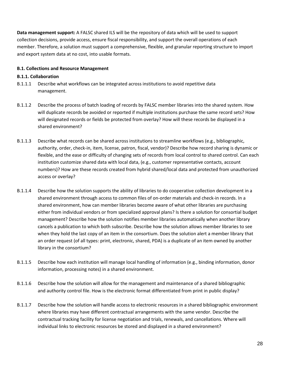**Data management support:** A FALSC shared ILS will be the repository of data which will be used to support collection decisions, provide access, ensure fiscal responsibility, and support the overall operations of each member. Therefore, a solution must support a comprehensive, flexible, and granular reporting structure to import and export system data at no cost, into usable formats.

#### **B.1. Collections and Resource Management**

#### **B.1.1. Collaboration**

- B.1.1.1 Describe what workflows can be integrated across institutions to avoid repetitive data management.
- B.1.1.2 Describe the process of batch loading of records by FALSC member libraries into the shared system. How will duplicate records be avoided or reported if multiple institutions purchase the same record sets? How will designated records or fields be protected from overlay? How will these records be displayed in a shared environment?
- B.1.1.3 Describe what records can be shared across institutions to streamline workflows (e.g., bibliographic, authority, order, check-in, item, license, patron, fiscal, vendor)? Describe how record sharing is dynamic or flexible, and the ease or difficulty of changing sets of records from local control to shared control. Can each institution customize shared data with local data, (e.g., customer representative contacts, account numbers)? How are these records created from hybrid shared/local data and protected from unauthorized access or overlay?
- B.1.1.4 Describe how the solution supports the ability of libraries to do cooperative collection development in a shared environment through access to common files of on-order materials and check-in records. In a shared environment, how can member libraries become aware of what other libraries are purchasing either from individual vendors or from specialized approval plans? Is there a solution for consortial budget management? Describe how the solution notifies member libraries automatically when another library cancels a publication to which both subscribe. Describe how the solution allows member libraries to see when they hold the last copy of an item in the consortium. Does the solution alert a member library that an order request (of all types: print, electronic, shared, PDA) is a duplicate of an item owned by another library in the consortium?
- B.1.1.5 Describe how each institution will manage local handling of information (e.g., binding information, donor information, processing notes) in a shared environment.
- B.1.1.6 Describe how the solution will allow for the management and maintenance of a shared bibliographic and authority control file. How is the electronic format differentiated from print in public display?
- B.1.1.7 Describe how the solution will handle access to electronic resources in a shared bibliographic environment where libraries may have different contractual arrangements with the same vendor. Describe the contractual tracking facility for license negotiation and trials, renewals, and cancellations. Where will individual links to electronic resources be stored and displayed in a shared environment?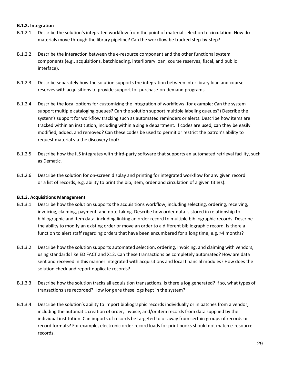#### **B.1.2. Integration**

- B.1.2.1 Describe the solution's integrated workflow from the point of material selection to circulation. How do materials move through the library pipeline? Can the workflow be tracked step-by-step?
- B.1.2.2 Describe the interaction between the e-resource component and the other functional system components (e.g., acquisitions, batchloading, interlibrary loan, course reserves, fiscal, and public interface).
- B.1.2.3 Describe separately how the solution supports the integration between interlibrary loan and course reserves with acquisitions to provide support for purchase-on-demand programs.
- B.1.2.4 Describe the local options for customizing the integration of workflows (for example: Can the system support multiple cataloging queues? Can the solution support multiple labeling queues?) Describe the system's support for workflow tracking such as automated reminders or alerts. Describe how items are tracked within an institution, including within a single department. If codes are used, can they be easily modified, added, and removed? Can these codes be used to permit or restrict the patron's ability to request material via the discovery tool?
- B.1.2.5 Describe how the ILS integrates with third-party software that supports an automated retrieval facility, such as Dematic.
- B.1.2.6 Describe the solution for on-screen display and printing for integrated workflow for any given record or a list of records, e.g. ability to print the bib, item, order and circulation of a given title(s).

#### **B.1.3. Acquisitions Management**

- B.1.3.1 Describe how the solution supports the acquisitions workflow, including selecting, ordering, receiving, invoicing, claiming, payment, and note-taking. Describe how order data is stored in relationship to bibliographic and item data, including linking an order record to multiple bibliographic records. Describe the ability to modify an existing order or move an order to a different bibliographic record. Is there a function to alert staff regarding orders that have been encumbered for a long time, e.g. >4 months?
- B.1.3.2 Describe how the solution supports automated selection, ordering, invoicing, and claiming with vendors, using standards like EDIFACT and X12. Can these transactions be completely automated? How are data sent and received in this manner integrated with acquisitions and local financial modules? How does the solution check and report duplicate records?
- B.1.3.3 Describe how the solution tracks all acquisition transactions. Is there a log generated? If so, what types of transactions are recorded? How long are these logs kept in the system?
- B.1.3.4 Describe the solution's ability to import bibliographic records individually or in batches from a vendor, including the automatic creation of order, invoice, and/or item records from data supplied by the individual institution. Can imports of records be targeted to or away from certain groups of records or record formats? For example, electronic order record loads for print books should not match e-resource records.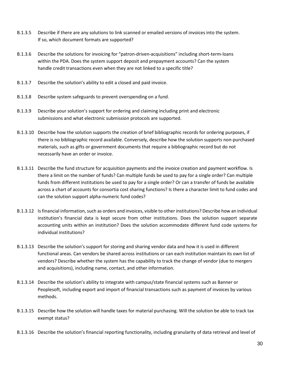- B.1.3.5 Describe if there are any solutions to link scanned or emailed versions of invoices into the system. If so, which document formats are supported?
- B.1.3.6 Describe the solutions for invoicing for "patron-driven-acquisitions" including short-term-loans within the PDA. Does the system support deposit and prepayment accounts? Can the system handle credit transactions even when they are not linked to a specific title?
- B.1.3.7 Describe the solution's ability to edit a closed and paid invoice.
- B.1.3.8 Describe system safeguards to prevent overspending on a fund.
- B.1.3.9 Describe your solution's support for ordering and claiming including print and electronic submissions and what electronic submission protocols are supported.
- B.1.3.10 Describe how the solution supports the creation of brief bibliographic records for ordering purposes, if there is no bibliographic record available. Conversely, describe how the solution supports non-purchased materials, such as gifts or government documents that require a bibliographic record but do not necessarily have an order or invoice.
- B.1.3.11 Describe the fund structure for acquisition payments and the invoice creation and payment workflow. Is there a limit on the number of funds? Can multiple funds be used to pay for a single order? Can multiple funds from different institutions be used to pay for a single order? Or can a transfer of funds be available across a chart of accounts for consortia cost sharing functions? Is there a character limit to fund codes and can the solution support alpha-numeric fund codes?
- B.1.3.12 Is financial information, such as orders and invoices, visible to other institutions? Describe how an individual institution's financial data is kept secure from other institutions. Does the solution support separate accounting units within an institution? Does the solution accommodate different fund code systems for individual institutions?
- B.1.3.13 Describe the solution's support for storing and sharing vendor data and how it is used in different functional areas. Can vendors be shared across institutions or can each institution maintain its own list of vendors? Describe whether the system has the capability to track the change of vendor (due to mergers and acquisitions), including name, contact, and other information.
- B.1.3.14 Describe the solution's ability to integrate with campus/state financial systems such as Banner or Peoplesoft, including export and import of financial transactions such as payment of invoices by various methods.
- B.1.3.15 Describe how the solution will handle taxes for material purchasing. Will the solution be able to track tax exempt status?
- B.1.3.16 Describe the solution's financial reporting functionality, including granularity of data retrieval and level of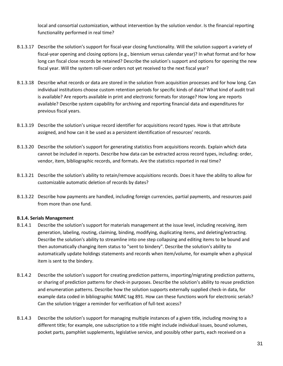local and consortial customization, without intervention by the solution vendor. Is the financial reporting functionality performed in real time?

- B.1.3.17 Describe the solution's support for fiscal-year closing functionality. Will the solution support a variety of fiscal-year opening and closing options (e.g., biennium versus calendar year)? In what format and for how long can fiscal close records be retained? Describe the solution's support and options for opening the new fiscal year. Will the system roll-over orders not yet received to the next fiscal year?
- B.1.3.18 Describe what records or data are stored in the solution from acquisition processes and for how long. Can individual institutions choose custom retention periods for specific kinds of data? What kind of audit trail is available? Are reports available in print and electronic formats for storage? How long are reports available? Describe system capability for archiving and reporting financial data and expenditures for previous fiscal years.
- B.1.3.19 Describe the solution's unique record identifier for acquisitions record types. How is that attribute assigned, and how can it be used as a persistent identification of resources' records.
- B.1.3.20 Describe the solution's support for generating statistics from acquisitions records. Explain which data cannot be included in reports. Describe how data can be extracted across record types, including: order, vendor, item, bibliographic records, and formats. Are the statistics reported in real time?
- B.1.3.21 Describe the solution's ability to retain/remove acquisitions records. Does it have the ability to allow for customizable automatic deletion of records by dates?
- B.1.3.22 Describe how payments are handled, including foreign currencies, partial payments, and resources paid from more than one fund.

#### **B.1.4. Serials Management**

- B.1.4.1 Describe the solution's support for materials management at the issue level, including receiving, item generation, labeling, routing, claiming, binding, modifying, duplicating items, and deleting/extracting. Describe the solution's ability to streamline into one step collapsing and editing items to be bound and then automatically changing item status to "sent to bindery". Describe the solution's ability to automatically update holdings statements and records when item/volume, for example when a physical item is sent to the bindery.
- B.1.4.2 Describe the solution's support for creating prediction patterns, importing/migrating prediction patterns, or sharing of prediction patterns for check-in purposes. Describe the solution's ability to reuse prediction and enumeration patterns. Describe how the solution supports externally supplied check-in data, for example data coded in bibliographic MARC tag 891. How can these functions work for electronic serials? Can the solution trigger a reminder for verification of full-text access?
- B.1.4.3 Describe the solution's support for managing multiple instances of a given title, including moving to a different title; for example, one subscription to a title might include individual issues, bound volumes, pocket parts, pamphlet supplements, legislative service, and possibly other parts, each received on a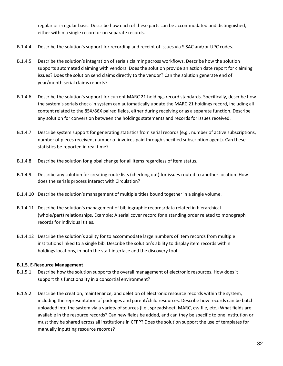regular or irregular basis. Describe how each of these parts can be accommodated and distinguished, either within a single record or on separate records.

- B.1.4.4 Describe the solution's support for recording and receipt of issues via SISAC and/or UPC codes.
- B.1.4.5 Describe the solution's integration of serials claiming across workflows. Describe how the solution supports automated claiming with vendors. Does the solution provide an action date report for claiming issues? Does the solution send claims directly to the vendor? Can the solution generate end of year/month serial claims reports?
- B.1.4.6 Describe the solution's support for current MARC 21 holdings record standards. Specifically, describe how the system's serials check-in system can automatically update the MARC 21 holdings record, including all content related to the 85X/86X paired fields, either during receiving or as a separate function. Describe any solution for conversion between the holdings statements and records for issues received.
- B.1.4.7 Describe system support for generating statistics from serial records (e.g., number of active subscriptions, number of pieces received, number of invoices paid through specified subscription agent). Can these statistics be reported in real time?
- B.1.4.8 Describe the solution for global change for all items regardless of item status.
- B.1.4.9 Describe any solution for creating route lists (checking out) for issues routed to another location. How does the serials process interact with Circulation?
- B.1.4.10 Describe the solution's management of multiple titles bound together in a single volume.
- B.1.4.11 Describe the solution's management of bibliographic records/data related in hierarchical (whole/part) relationships. Example: A serial cover record for a standing order related to monograph records for individual titles.
- B.1.4.12 Describe the solution's ability for to accommodate large numbers of item records from multiple institutions linked to a single bib. Describe the solution's ability to display item records within holdings locations, in both the staff interface and the discovery tool.

#### **B.1.5. E-Resource Management**

- B.1.5.1 Describe how the solution supports the overall management of electronic resources. How does it support this functionality in a consortial environment?
- B.1.5.2 Describe the creation, maintenance, and deletion of electronic resource records within the system, including the representation of packages and parent/child resources. Describe how records can be batch uploaded into the system via a variety of sources (i.e., spreadsheet, MARC, csv file, etc.) What fields are available in the resource records? Can new fields be added, and can they be specific to one institution or must they be shared across all institutions in CFPP? Does the solution support the use of templates for manually inputting resource records?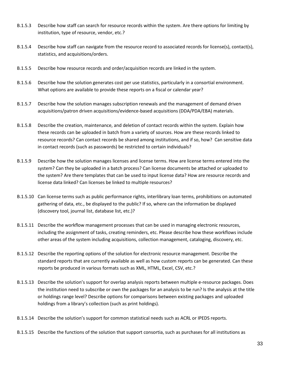- B.1.5.3 Describe how staff can search for resource records within the system. Are there options for limiting by institution, type of resource, vendor, etc.?
- B.1.5.4 Describe how staff can navigate from the resource record to associated records for license(s), contact(s), statistics, and acquisitions/orders.
- B.1.5.5 Describe how resource records and order/acquisition records are linked in the system.
- B.1.5.6 Describe how the solution generates cost per use statistics, particularly in a consortial environment. What options are available to provide these reports on a fiscal or calendar year?
- B.1.5.7 Describe how the solution manages subscription renewals and the management of demand driven acquisitions/patron driven acquisitions/evidence-based acquisitions (DDA/PDA/EBA) materials.
- B.1.5.8 Describe the creation, maintenance, and deletion of contact records within the system. Explain how these records can be uploaded in batch from a variety of sources. How are these records linked to resource records? Can contact records be shared among institutions, and if so, how? Can sensitive data in contact records (such as passwords) be restricted to certain individuals?
- B.1.5.9 Describe how the solution manages licenses and license terms. How are license terms entered into the system? Can they be uploaded in a batch process? Can license documents be attached or uploaded to the system? Are there templates that can be used to input license data? How are resource records and license data linked? Can licenses be linked to multiple resources?
- B.1.5.10 Can license terms such as public performance rights, interlibrary loan terms, prohibitions on automated gathering of data, etc., be displayed to the public? If so, where can the information be displayed (discovery tool, journal list, database list, etc.)?
- B.1.5.11 Describe the workflow management processes that can be used in managing electronic resources, including the assignment of tasks, creating reminders, etc. Please describe how these workflows include other areas of the system including acquisitions, collection management, cataloging, discovery, etc.
- B.1.5.12 Describe the reporting options of the solution for electronic resource management. Describe the standard reports that are currently available as well as how custom reports can be generated. Can these reports be produced in various formats such as XML, HTML, Excel, CSV, etc.?
- B.1.5.13 Describe the solution's support for overlap analysis reports between multiple e-resource packages. Does the institution need to subscribe or own the packages for an analysis to be run? Is the analysis at the title or holdings range level? Describe options for comparisons between existing packages and uploaded holdings from a library's collection (such as print holdings).
- B.1.5.14 Describe the solution's support for common statistical needs such as ACRL or IPEDS reports.
- B.1.5.15 Describe the functions of the solution that support consortia, such as purchases for all institutions as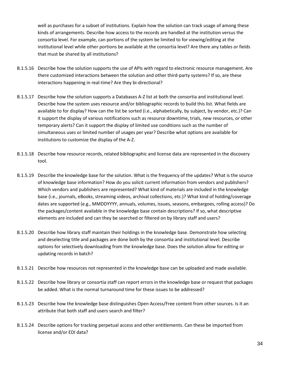well as purchases for a subset of institutions. Explain how the solution can track usage of among these kinds of arrangements. Describe how access to the records are handled at the institution versus the consortia level. For example, can portions of the system be limited to for viewing/editing at the institutional level while other portions be available at the consortia level? Are there any tables or fields that must be shared by all institutions?

- B.1.5.16 Describe how the solution supports the use of APIs with regard to electronic resource management. Are there customized interactions between the solution and other third-party systems? If so, are these interactions happening in real-time? Are they bi-directional?
- B.1.5.17 Describe how the solution supports a Databases A-Z list at both the consortia and institutional level. Describe how the system uses resource and/or bibliographic records to build this list. What fields are available to for display? How can the list be sorted (i.e., alphabetically, by subject, by vendor, etc.)? Can it support the display of various notifications such as resource downtime, trials, new resources, or other temporary alerts? Can it support the display of limited use conditions such as the number of simultaneous uses or limited number of usages per year? Describe what options are available for institutions to customize the display of the A-Z.
- B.1.5.18 Describe how resource records, related bibliographic and license data are represented in the discovery tool.
- B.1.5.19 Describe the knowledge base for the solution. What is the frequency of the updates? What is the source of knowledge base information? How do you solicit current information from vendors and publishers? Which vendors and publishers are represented? What kind of materials are included in the knowledge base (i.e., journals, eBooks, streaming videos, archival collections, etc.)? What kind of holding/coverage dates are supported (e.g., MMDDYYYY, annuals, volumes, issues, seasons, embargoes, rolling access)? Do the packages/content available in the knowledge base contain descriptions? If so, what descriptive elements are included and can they be searched or filtered on by library staff and users?
- B.1.5.20 Describe how library staff maintain their holdings in the knowledge base. Demonstrate how selecting and deselecting title and packages are done both by the consortia and institutional level. Describe options for selectively downloading from the knowledge base. Does the solution allow for editing or updating records in batch?
- B.1.5.21 Describe how resources not represented in the knowledge base can be uploaded and made available.
- B.1.5.22 Describe how library or consortia staff can report errors in the knowledge base or request that packages be added. What is the normal turnaround time for these issues to be addressed?
- B.1.5.23 Describe how the knowledge base distinguishes Open Access/Free content from other sources. Is it an attribute that both staff and users search and filter?
- B.1.5.24 Describe options for tracking perpetual access and other entitlements. Can these be imported from license and/or EDI data?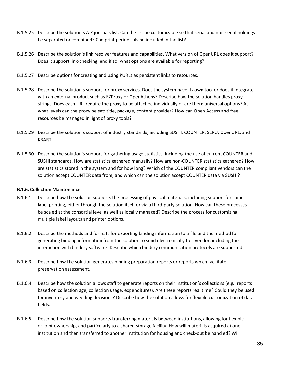- B.1.5.25 Describe the solution's A-Z journals list. Can the list be customizable so that serial and non-serial holdings be separated or combined? Can print periodicals be included in the list?
- B.1.5.26 Describe the solution's link resolver features and capabilities. What version of OpenURL does it support? Does it support link-checking, and if so, what options are available for reporting?
- B.1.5.27 Describe options for creating and using PURLs as persistent links to resources.
- B.1.5.28 Describe the solution's support for proxy services. Does the system have its own tool or does it integrate with an external product such as EZProxy or OpenAthens? Describe how the solution handles proxy strings. Does each URL require the proxy to be attached individually or are there universal options? At what levels can the proxy be set: title, package, content provider? How can Open Access and free resources be managed in light of proxy tools?
- B.1.5.29 Describe the solution's support of industry standards, including SUSHI, COUNTER, SERU, OpenURL, and KBART.
- B.1.5.30 Describe the solution's support for gathering usage statistics, including the use of current COUNTER and SUSHI standards. How are statistics gathered manually? How are non-COUNTER statistics gathered? How are statistics stored in the system and for how long? Which of the COUNTER compliant vendors can the solution accept COUNTER data from, and which can the solution accept COUNTER data via SUSHI?

#### **B.1.6. Collection Maintenance**

- B.1.6.1 Describe how the solution supports the processing of physical materials, including support for spinelabel printing, either through the solution itself or via a third-party solution. How can these processes be scaled at the consortial level as well as locally managed? Describe the process for customizing multiple label layouts and printer options.
- B.1.6.2 Describe the methods and formats for exporting binding information to a file and the method for generating binding information from the solution to send electronically to a vendor, including the interaction with bindery software. Describe which bindery communication protocols are supported.
- B.1.6.3 Describe how the solution generates binding preparation reports or reports which facilitate preservation assessment.
- B.1.6.4 Describe how the solution allows staff to generate reports on their institution's collections (e.g., reports based on collection age, collection usage, expenditures). Are these reports real time? Could they be used for inventory and weeding decisions? Describe how the solution allows for flexible customization of data fields.
- B.1.6.5 Describe how the solution supports transferring materials between institutions, allowing for flexible or joint ownership, and particularly to a shared storage facility. How will materials acquired at one institution and then transferred to another institution for housing and check-out be handled? Will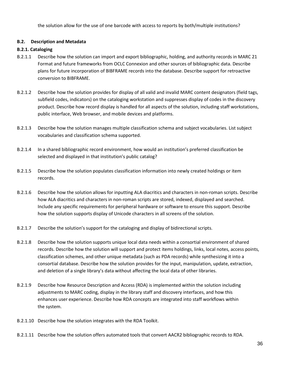the solution allow for the use of one barcode with access to reports by both/multiple institutions?

#### **B.2. Description and Metadata**

#### **B.2.1. Cataloging**

- B.2.1.1 Describe how the solution can import and export bibliographic, holding, and authority records in MARC 21 Format and future frameworks from OCLC Connexion and other sources of bibliographic data. Describe plans for future incorporation of BIBFRAME records into the database. Describe support for retroactive conversion to BIBFRAME.
- B.2.1.2 Describe how the solution provides for display of all valid and invalid MARC content designators (field tags, subfield codes, indicators) on the cataloging workstation and suppresses display of codes in the discovery product. Describe how record display is handled for all aspects of the solution, including staff workstations, public interface, Web browser, and mobile devices and platforms.
- B.2.1.3 Describe how the solution manages multiple classification schema and subject vocabularies. List subject vocabularies and classification schema supported.
- B.2.1.4 In a shared bibliographic record environment, how would an institution's preferred classification be selected and displayed in that institution's public catalog?
- B.2.1.5 Describe how the solution populates classification information into newly created holdings or item records.
- B.2.1.6 Describe how the solution allows for inputting ALA diacritics and characters in non-roman scripts. Describe how ALA diacritics and characters in non-roman scripts are stored, indexed, displayed and searched. Include any specific requirements for peripheral hardware or software to ensure this support. Describe how the solution supports display of Unicode characters in all screens of the solution.
- B.2.1.7 Describe the solution's support for the cataloging and display of bidirectional scripts.
- B.2.1.8 Describe how the solution supports unique local data needs within a consortial environment of shared records. Describe how the solution will support and protect items holdings, links, local notes, access points, classification schemes, and other unique metadata (such as PDA records) while synthesizing it into a consortial database. Describe how the solution provides for the input, manipulation, update, extraction, and deletion of a single library's data without affecting the local data of other libraries.
- B.2.1.9 Describe how Resource Description and Access (RDA) is implemented within the solution including adjustments to MARC coding, display in the library staff and discovery interfaces, and how this enhances user experience. Describe how RDA concepts are integrated into staff workflows within the system.
- B.2.1.10 Describe how the solution integrates with the RDA Toolkit.
- B.2.1.11 Describe how the solution offers automated tools that convert AACR2 bibliographic records to RDA.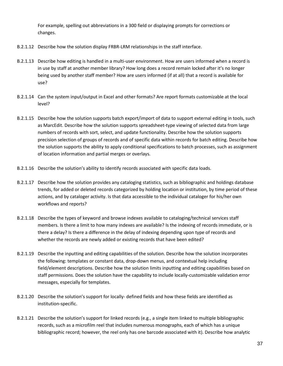For example, spelling out abbreviations in a 300 field or displaying prompts for corrections or changes.

- B.2.1.12 Describe how the solution display FRBR-LRM relationships in the staff interface.
- B.2.1.13 Describe how editing is handled in a multi-user environment. How are users informed when a record is in use by staff at another member library? How long does a record remain locked after it's no longer being used by another staff member? How are users informed (if at all) that a record is available for use?
- B.2.1.14 Can the system input/output in Excel and other formats? Are report formats customizable at the local level?
- B.2.1.15 Describe how the solution supports batch export/import of data to support external editing in tools, such as MarcEdit. Describe how the solution supports spreadsheet-type viewing of selected data from large numbers of records with sort, select, and update functionality. Describe how the solution supports precision selection of groups of records and of specific data within records for batch editing. Describe how the solution supports the ability to apply conditional specifications to batch processes, such as assignment of location information and partial merges or overlays.
- B.2.1.16 Describe the solution's ability to identify records associated with specific data loads.
- B.2.1.17 Describe how the solution provides any cataloging statistics, such as bibliographic and holdings database trends, for added or deleted records categorized by holding location or institution, by time period of these actions, and by cataloger activity. Is that data accessible to the individual cataloger for his/her own workflows and reports?
- B.2.1.18 Describe the types of keyword and browse indexes available to cataloging/technical services staff members. Is there a limit to how many indexes are available? Is the indexing of records immediate, or is there a delay? Is there a difference in the delay of indexing depending upon type of records and whether the records are newly added or existing records that have been edited?
- B.2.1.19 Describe the inputting and editing capabilities of the solution. Describe how the solution incorporates the following: templates or constant data, drop-down menus, and contextual help including field/element descriptions. Describe how the solution limits inputting and editing capabilities based on staff permissions. Does the solution have the capability to include locally-customizable validation error messages, especially for templates.
- B.2.1.20 Describe the solution's support for locally- defined fields and how these fields are identified as institution-specific.
- B.2.1.21 Describe the solution's support for linked records (e.g., a single item linked to multiple bibliographic records, such as a microfilm reel that includes numerous monographs, each of which has a unique bibliographic record; however, the reel only has one barcode associated with it). Describe how analytic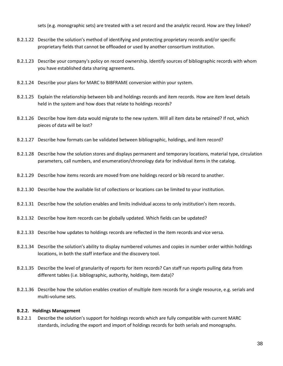sets (e.g. monographic sets) are treated with a set record and the analytic record. How are they linked?

- B.2.1.22 Describe the solution's method of identifying and protecting proprietary records and/or specific proprietary fields that cannot be offloaded or used by another consortium institution.
- B.2.1.23 Describe your company's policy on record ownership. Identify sources of bibliographic records with whom you have established data sharing agreements.
- B.2.1.24 Describe your plans for MARC to BIBFRAME conversion within your system.
- B.2.1.25 Explain the relationship between bib and holdings records and item records. How are item level details held in the system and how does that relate to holdings records?
- B.2.1.26 Describe how item data would migrate to the new system. Will all item data be retained? If not, which pieces of data will be lost?
- B.2.1.27 Describe how formats can be validated between bibliographic, holdings, and item record?
- B.2.1.28 Describe how the solution stores and displays permanent and temporary locations, material type, circulation parameters, call numbers, and enumeration/chronology data for individual items in the catalog.
- B.2.1.29 Describe how items records are moved from one holdings record or bib record to another.
- B.2.1.30 Describe how the available list of collections or locations can be limited to your institution.
- B.2.1.31 Describe how the solution enables and limits individual access to only institution's item records.
- B.2.1.32 Describe how item records can be globally updated. Which fields can be updated?
- B.2.1.33 Describe how updates to holdings records are reflected in the item records and vice versa.
- B.2.1.34 Describe the solution's ability to display numbered volumes and copies in number order within holdings locations, in both the staff interface and the discovery tool.
- B.2.1.35 Describe the level of granularity of reports for item records? Can staff run reports pulling data from different tables (i.e. bibliographic, authority, holdings, item data)?
- B.2.1.36 Describe how the solution enables creation of multiple item records for a single resource, e.g. serials and multi-volume sets.

#### **B.2.2. Holdings Management**

B.2.2.1 Describe the solution's support for holdings records which are fully compatible with current MARC standards, including the export and import of holdings records for both serials and monographs.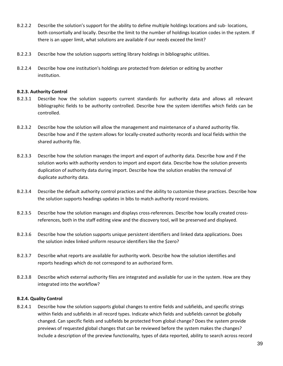- B.2.2.2 Describe the solution's support for the ability to define multiple holdings locations and sub- locations, both consortially and locally. Describe the limit to the number of holdings location codes in the system. If there is an upper limit, what solutions are available if our needs exceed the limit?
- B.2.2.3 Describe how the solution supports setting library holdings in bibliographic utilities.
- B.2.2.4 Describe how one institution's holdings are protected from deletion or editing by another institution.

#### **B.2.3. Authority Control**

- B.2.3.1 Describe how the solution supports current standards for authority data and allows all relevant bibliographic fields to be authority controlled. Describe how the system identifies which fields can be controlled.
- B.2.3.2 Describe how the solution will allow the management and maintenance of a shared authority file. Describe how and if the system allows for locally-created authority records and local fields within the shared authority file.
- B.2.3.3 Describe how the solution manages the import and export of authority data. Describe how and if the solution works with authority vendors to import and export data. Describe how the solution prevents duplication of authority data during import. Describe how the solution enables the removal of duplicate authority data.
- B.2.3.4 Describe the default authority control practices and the ability to customize these practices. Describe how the solution supports headings updates in bibs to match authority record revisions.
- B.2.3.5 Describe how the solution manages and displays cross-references. Describe how locally created crossreferences, both in the staff editing view and the discovery tool, will be preserved and displayed.
- B.2.3.6 Describe how the solution supports unique persistent identifiers and linked data applications. Does the solution index linked uniform resource identifiers like the \$zero?
- B.2.3.7 Describe what reports are available for authority work. Describe how the solution identifies and reports headings which do not correspond to an authorized form.
- B.2.3.8 Describe which external authority files are integrated and available for use in the system. How are they integrated into the workflow?

#### **B.2.4. Quality Control**

B.2.4.1 Describe how the solution supports global changes to entire fields and subfields, and specific strings within fields and subfields in all record types. Indicate which fields and subfields cannot be globally changed. Can specific fields and subfields be protected from global change? Does the system provide previews of requested global changes that can be reviewed before the system makes the changes? Include a description of the preview functionality, types of data reported, ability to search across record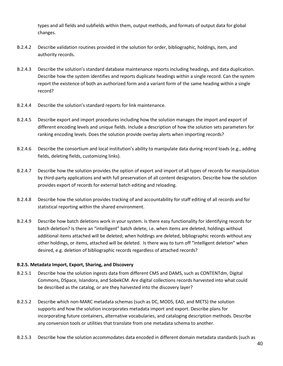types and all fields and subfields within them, output methods, and formats of output data for global changes.

- B.2.4.2 Describe validation routines provided in the solution for order, bibliographic, holdings, item, and authority records.
- B.2.4.3 Describe the solution's standard database maintenance reports including headings, and data duplication. Describe how the system identifies and reports duplicate headings within a single record. Can the system report the existence of both an authorized form and a variant form of the same heading within a single record?
- B.2.4.4 Describe the solution's standard reports for link maintenance.
- B.2.4.5 Describe export and import procedures including how the solution manages the import and export of different encoding levels and unique fields. Include a description of how the solution sets parameters for ranking encoding levels. Does the solution provide overlay alerts when importing records?
- B.2.4.6 Describe the consortium and local institution's ability to manipulate data during record loads (e.g., adding fields, deleting fields, customizing links).
- B.2.4.7 Describe how the solution provides the option of export and import of all types of records for manipulation by third-party applications and with full preservation of all content designators. Describe how the solution provides export of records for external batch editing and reloading.
- B.2.4.8 Describe how the solution provides tracking of and accountability for staff editing of all records and for statistical reporting within the shared environment.
- B.2.4.9 Describe how batch deletions work in your system. Is there easy functionality for identifying records for batch deletion? Is there an "intelligent" batch delete, i.e. when items are deleted, holdings without additional items attached will be deleted; when holdings are deleted, bibliographic records without any other holdings, or items, attached will be deleted. Is there way to turn off "intelligent deletion" when desired, e.g. deletion of bibliographic records regardless of attached records?

#### **B.2.5. Metadata Import, Export, Sharing, and Discovery**

- B.2.5.1 Describe how the solution ingests data from different CMS and DAMS, such as CONTENTdm, Digital Commons, DSpace, Islandora, and SobekCM. Are digital collections records harvested into what could be described as the catalog, or are they harvested into the discovery layer?
- B.2.5.2 Describe which non-MARC metadata schemas (such as DC, MODS, EAD, and METS) the solution supports and how the solution incorporates metadata import and export. Describe plans for incorporating future containers, alternative vocabularies, and cataloging description methods. Describe any conversion tools or utilities that translate from one metadata schema to another.
- B.2.5.3 Describe how the solution accommodates data encoded in different domain metadata standards (such as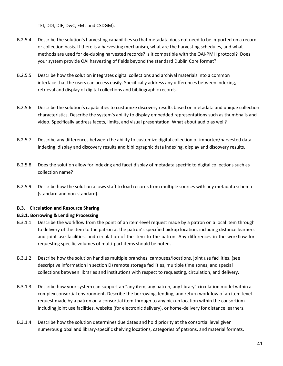TEI, DDI, DIF, DwC, EML and CSDGM).

- B.2.5.4 Describe the solution's harvesting capabilities so that metadata does not need to be imported on a record or collection basis. If there is a harvesting mechanism, what are the harvesting schedules, and what methods are used for de-duping harvested records? Is it compatible with the OAI-PMH protocol? Does your system provide OAI harvesting of fields beyond the standard Dublin Core format?
- B.2.5.5 Describe how the solution integrates digital collections and archival materials into a common interface that the users can access easily. Specifically address any differences between indexing, retrieval and display of digital collections and bibliographic records.
- B.2.5.6 Describe the solution's capabilities to customize discovery results based on metadata and unique collection characteristics. Describe the system's ability to display embedded representations such as thumbnails and video. Specifically address facets, limits, and visual presentation. What about audio as well?
- B.2.5.7 Describe any differences between the ability to customize digital collection or imported/harvested data indexing, display and discovery results and bibliographic data indexing, display and discovery results.
- B.2.5.8 Does the solution allow for indexing and facet display of metadata specific to digital collections such as collection name?
- B.2.5.9 Describe how the solution allows staff to load records from multiple sources with any metadata schema (standard and non-standard).

#### **B.3. Circulation and Resource Sharing**

#### **B.3.1. Borrowing & Lending Processing**

- B.3.1.1 Describe the workflow from the point of an item-level request made by a patron on a local item through to delivery of the item to the patron at the patron's specified pickup location, including distance learners and joint use facilities, and circulation of the item to the patron. Any differences in the workflow for requesting specific volumes of multi-part items should be noted.
- B.3.1.2 Describe how the solution handles multiple branches, campuses/locations, joint use facilities, (see descriptive information in section D) remote storage facilities, multiple time zones, and special collections between libraries and institutions with respect to requesting, circulation, and delivery.
- B.3.1.3 Describe how your system can support an "any item, any patron, any library" circulation model within a complex consortial environment. Describe the borrowing, lending, and return workflow of an item-level request made by a patron on a consortial item through to any pickup location within the consortium including joint use facilities, website (for electronic delivery), or home-delivery for distance learners.
- B.3.1.4 Describe how the solution determines due dates and hold priority at the consortial level given numerous global and library-specific shelving locations, categories of patrons, and material formats.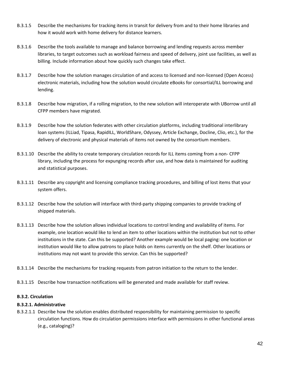- B.3.1.5 Describe the mechanisms for tracking items in transit for delivery from and to their home libraries and how it would work with home delivery for distance learners.
- B.3.1.6 Describe the tools available to manage and balance borrowing and lending requests across member libraries, to target outcomes such as workload fairness and speed of delivery, joint use facilities, as well as billing. Include information about how quickly such changes take effect.
- B.3.1.7 Describe how the solution manages circulation of and access to licensed and non-licensed (Open Access) electronic materials, including how the solution would circulate eBooks for consortial/ILL borrowing and lending.
- B.3.1.8 Describe how migration, if a rolling migration, to the new solution will interoperate with UBorrow until all CFPP members have migrated.
- B.3.1.9 Describe how the solution federates with other circulation platforms, including traditional interlibrary loan systems (ILLiad, Tipasa, RapidILL, WorldShare, Odyssey, Article Exchange, Docline, Clio, etc.), for the delivery of electronic and physical materials of items not owned by the consortium members.
- B.3.1.10 Describe the ability to create temporary circulation records for ILL items coming from a non- CFPP library, including the process for expunging records after use, and how data is maintained for auditing and statistical purposes.
- B.3.1.11 Describe any copyright and licensing compliance tracking procedures, and billing of lost items that your system offers.
- B.3.1.12 Describe how the solution will interface with third-party shipping companies to provide tracking of shipped materials.
- B.3.1.13 Describe how the solution allows individual locations to control lending and availability of items. For example, one location would like to lend an item to other locations within the institution but not to other institutions in the state. Can this be supported? Another example would be local paging: one location or institution would like to allow patrons to place holds on items currently on the shelf. Other locations or institutions may not want to provide this service. Can this be supported?
- B.3.1.14 Describe the mechanisms for tracking requests from patron initiation to the return to the lender.
- B.3.1.15 Describe how transaction notifications will be generated and made available for staff review.

#### **B.3.2. Circulation**

#### **B.3.2.1. Administrative**

B.3.2.1.1 Describe how the solution enables distributed responsibility for maintaining permission to specific circulation functions. How do circulation permissions interface with permissions in other functional areas (e.g., cataloging)?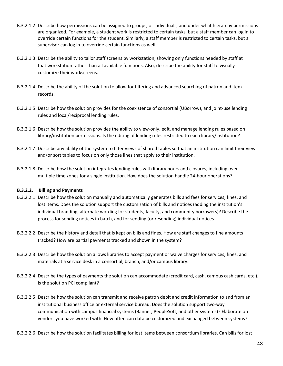- B.3.2.1.2 Describe how permissions can be assigned to groups, or individuals, and under what hierarchy permissions are organized. For example, a student work is restricted to certain tasks, but a staff member can log in to override certain functions for the student. Similarly, a staff member is restricted to certain tasks, but a supervisor can log in to override certain functions as well.
- B.3.2.1.3 Describe the ability to tailor staff screens by workstation, showing only functions needed by staff at that workstation rather than all available functions. Also, describe the ability for staff to visually customize their workscreens.
- B.3.2.1.4 Describe the ability of the solution to allow for filtering and advanced searching of patron and item records.
- B.3.2.1.5 Describe how the solution provides for the coexistence of consortial (UBorrow), and joint-use lending rules and local/reciprocal lending rules.
- B.3.2.1.6 Describe how the solution provides the ability to view-only, edit, and manage lending rules based on library/institution permissions. Is the editing of lending rules restricted to each library/institution?
- B.3.2.1.7 Describe any ability of the system to filter views of shared tables so that an institution can limit their view and/or sort tables to focus on only those lines that apply to their institution.
- B.3.2.1.8 Describe how the solution integrates lending rules with library hours and closures, including over multiple time zones for a single institution. How does the solution handle 24-hour operations?

#### **B.3.2.2. Billing and Payments**

- B.3.2.2.1 Describe how the solution manually and automatically generates bills and fees for services, fines, and lost items. Does the solution support the customization of bills and notices (adding the institution's individual branding, alternate wording for students, faculty, and community borrowers)? Describe the process for sending notices in batch, and for sending (or resending) individual notices.
- B.3.2.2.2 Describe the history and detail that is kept on bills and fines. How are staff changes to fine amounts tracked? How are partial payments tracked and shown in the system?
- B.3.2.2.3 Describe how the solution allows libraries to accept payment or waive charges for services, fines, and materials at a service desk in a consortial, branch, and/or campus library.
- B.3.2.2.4 Describe the types of payments the solution can accommodate (credit card, cash, campus cash cards, etc.). Is the solution PCI compliant?
- B.3.2.2.5 Describe how the solution can transmit and receive patron debit and credit information to and from an institutional business office or external service bureau. Does the solution support two-way communication with campus financial systems (Banner, PeopleSoft, and other systems)? Elaborate on vendors you have worked with. How often can data be customized and exchanged between systems?
- B.3.2.2.6 Describe how the solution facilitates billing for lost items between consortium libraries. Can bills for lost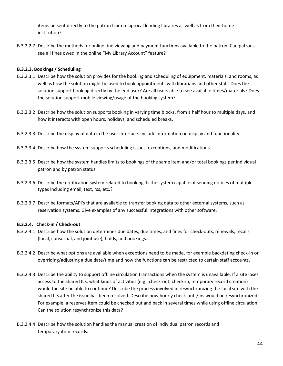items be sent directly to the patron from reciprocal lending libraries as well as from their home institution?

B.3.2.2.7 Describe the methods for online fine viewing and payment functions available to the patron. Can patrons see all fines owed in the online "My Library Account" feature?

#### **B.3.2.3. Bookings / Scheduling**

- B.3.2.3.1 Describe how the solution provides for the booking and scheduling of equipment, materials, and rooms, as well as how the solution might be used to book appointments with librarians and other staff. Does the solution support booking directly by the end user? Are all users able to see available times/materials? Does the solution support mobile viewing/usage of the booking system?
- B.3.2.3.2 Describe how the solution supports booking in varying time blocks, from a half hour to multiple days, and how it interacts with open hours, holidays, and scheduled breaks.
- B.3.2.3.3 Describe the display of data in the user interface. Include information on display and functionality.
- B.3.2.3.4 Describe how the system supports scheduling issues, exceptions, and modifications.
- B.3.2.3.5 Describe how the system handles limits to bookings of the same item and/or total bookings per individual patron and by patron status.
- B.3.2.3.6 Describe the notification system related to booking. Is the system capable of sending notices of multiple types including email, text, rss, etc.?
- B.3.2.3.7 Describe formats/API's that are available to transfer booking data to other external systems, such as reservation systems. Give examples of any successful integrations with other software.

#### **B.3.2.4. Check-in / Check-out**

- B.3.2.4.1 Describe how the solution determines due dates, due times, and fines for check-outs, renewals, recalls (local, consortial, and joint use), holds, and bookings.
- B.3.2.4.2 Describe what options are available when exceptions need to be made, for example backdating check-in or overriding/adjusting a due date/time and how the functions can be restricted to certain staff accounts.
- B.3.2.4.3 Describe the ability to support offline circulation transactions when the system is unavailable. If a site loses access to the shared ILS, what kinds of activities (e.g., check-out, check-in, temporary record creation) would the site be able to continue? Describe the process involved in resynchronizing the local site with the shared ILS after the issue has been resolved. Describe how hourly check-outs/ins would be resynchronized. For example, a reserves item could be checked out and back in several times while using offline circulation. Can the solution resynchronize this data?
- B.3.2.4.4 Describe how the solution handles the manual creation of individual patron records and temporary item records.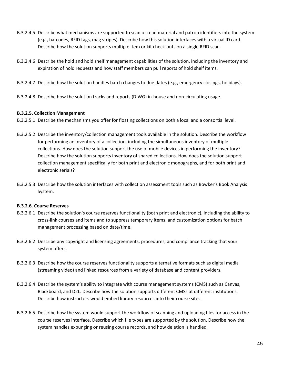- B.3.2.4.5 Describe what mechanisms are supported to scan or read material and patron identifiers into the system (e.g., barcodes, RFID tags, mag stripes). Describe how this solution interfaces with a virtual ID card. Describe how the solution supports multiple item or kit check-outs on a single RFID scan.
- B.3.2.4.6 Describe the hold and hold shelf management capabilities of the solution, including the inventory and expiration of hold requests and how staff members can pull reports of hold shelf items.
- B.3.2.4.7 Describe how the solution handles batch changes to due dates (e.g., emergency closings, holidays).
- B.3.2.4.8 Describe how the solution tracks and reports (DIWG) in-house and non-circulating usage.

#### **B.3.2.5. Collection Management**

- B.3.2.5.1 Describe the mechanisms you offer for floating collections on both a local and a consortial level.
- B.3.2.5.2 Describe the inventory/collection management tools available in the solution. Describe the workflow for performing an inventory of a collection, including the simultaneous inventory of multiple collections. How does the solution support the use of mobile devices in performing the inventory? Describe how the solution supports inventory of shared collections. How does the solution support collection management specifically for both print and electronic monographs, and for both print and electronic serials?
- B.3.2.5.3 Describe how the solution interfaces with collection assessment tools such as Bowker's Book Analysis System.

#### **B.3.2.6. Course Reserves**

- B.3.2.6.1 Describe the solution's course reserves functionality (both print and electronic), including the ability to cross-link courses and items and to suppress temporary items, and customization options for batch management processing based on date/time.
- B.3.2.6.2 Describe any copyright and licensing agreements, procedures, and compliance tracking that your system offers.
- B.3.2.6.3 Describe how the course reserves functionality supports alternative formats such as digital media (streaming video) and linked resources from a variety of database and content providers.
- B.3.2.6.4 Describe the system's ability to integrate with course management systems (CMS) such as Canvas, Blackboard, and D2L. Describe how the solution supports different CMSs at different institutions. Describe how instructors would embed library resources into their course sites.
- B.3.2.6.5 Describe how the system would support the workflow of scanning and uploading files for access in the course reserves interface. Describe which file types are supported by the solution. Describe how the system handles expunging or reusing course records, and how deletion is handled.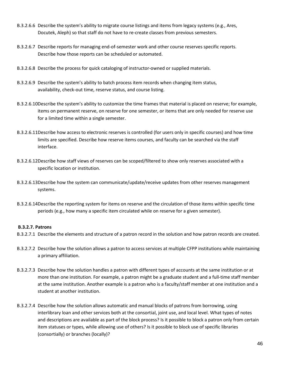- B.3.2.6.6 Describe the system's ability to migrate course listings and items from legacy systems (e.g., Ares, Docutek, Aleph) so that staff do not have to re-create classes from previous semesters.
- B.3.2.6.7 Describe reports for managing end-of-semester work and other course reserves specific reports. Describe how those reports can be scheduled or automated.
- B.3.2.6.8 Describe the process for quick cataloging of instructor-owned or supplied materials.
- B.3.2.6.9 Describe the system's ability to batch process item records when changing item status, availability, check-out time, reserve status, and course listing.
- B.3.2.6.10Describe the system's ability to customize the time frames that material is placed on reserve; for example, items on permanent reserve, on reserve for one semester, or items that are only needed for reserve use for a limited time within a single semester.
- B.3.2.6.11Describe how access to electronic reserves is controlled (for users only in specific courses) and how time limits are specified. Describe how reserve items courses, and faculty can be searched via the staff interface.
- B.3.2.6.12Describe how staff views of reserves can be scoped/filtered to show only reserves associated with a specific location or institution.
- B.3.2.6.13Describe how the system can communicate/update/receive updates from other reserves management systems.
- B.3.2.6.14Describe the reporting system for items on reserve and the circulation of those items within specific time periods (e.g., how many a specific item circulated while on reserve for a given semester).

#### **B.3.2.7. Patrons**

- B.3.2.7.1 Describe the elements and structure of a patron record in the solution and how patron records are created.
- B.3.2.7.2 Describe how the solution allows a patron to access services at multiple CFPP institutions while maintaining a primary affiliation.
- B.3.2.7.3 Describe how the solution handles a patron with different types of accounts at the same institution or at more than one institution. For example, a patron might be a graduate student and a full-time staff member at the same institution. Another example is a patron who is a faculty/staff member at one institution and a student at another institution.
- B.3.2.7.4 Describe how the solution allows automatic and manual blocks of patrons from borrowing, using interlibrary loan and other services both at the consortial, joint use, and local level. What types of notes and descriptions are available as part of the block process? Is it possible to block a patron only from certain item statuses or types, while allowing use of others? Is it possible to block use of specific libraries (consortially) or branches (locally)?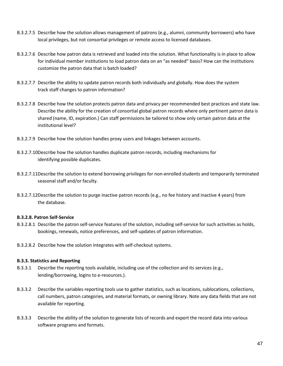- B.3.2.7.5 Describe how the solution allows management of patrons (e.g., alumni, community borrowers) who have local privileges, but not consortial privileges or remote access to licensed databases.
- B.3.2.7.6 Describe how patron data is retrieved and loaded into the solution. What functionality is in place to allow for individual member institutions to load patron data on an "as needed" basis? How can the institutions customize the patron data that is batch loaded?
- B.3.2.7.7 Describe the ability to update patron records both individually and globally. How does the system track staff changes to patron information?
- B.3.2.7.8 Describe how the solution protects patron data and privacy per recommended best practices and state law. Describe the ability for the creation of consortial global patron records where only pertinent patron data is shared (name, ID, expiration.) Can staff permissions be tailored to show only certain patron data at the institutional level?
- B.3.2.7.9 Describe how the solution handles proxy users and linkages between accounts.
- B.3.2.7.10Describe how the solution handles duplicate patron records, including mechanisms for identifying possible duplicates.
- B.3.2.7.11Describe the solution to extend borrowing privileges for non-enrolled students and temporarily terminated seasonal staff and/or faculty.
- B.3.2.7.12Describe the solution to purge inactive patron records (e.g., no fee history and inactive 4 years) from the database.

#### **B.3.2.8. Patron Self-Service**

- B.3.2.8.1 Describe the patron self-service features of the solution, including self-service for such activities as holds, bookings, renewals, notice preferences, and self-updates of patron information.
- B.3.2.8.2 Describe how the solution integrates with self-checkout systems.

#### **B.3.3. Statistics and Reporting**

- B.3.3.1 Describe the reporting tools available, including use of the collection and its services (e.g., lending/borrowing, logins to e-resources.).
- B.3.3.2 Describe the variables reporting tools use to gather statistics, such as locations, sublocations, collections, call numbers, patron categories, and material formats, or owning library. Note any data fields that are not available for reporting.
- B.3.3.3 Describe the ability of the solution to generate lists of records and export the record data into various software programs and formats.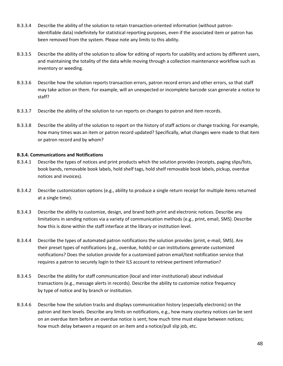- B.3.3.4 Describe the ability of the solution to retain transaction-oriented information (without patronidentifiable data) indefinitely for statistical reporting purposes, even if the associated item or patron has been removed from the system. Please note any limits to this ability.
- B.3.3.5 Describe the ability of the solution to allow for editing of reports for usability and actions by different users, and maintaining the totality of the data while moving through a collection maintenance workflow such as inventory or weeding.
- B.3.3.6 Describe how the solution reports transaction errors, patron record errors and other errors, so that staff may take action on them. For example, will an unexpected or incomplete barcode scan generate a notice to staff?
- B.3.3.7 Describe the ability of the solution to run reports on changes to patron and item records.
- B.3.3.8 Describe the ability of the solution to report on the history of staff actions or change tracking. For example, how many times was an item or patron record updated? Specifically, what changes were made to that item or patron record and by whom?

#### **B.3.4. Communications and Notifications**

- B.3.4.1 Describe the types of notices and print products which the solution provides (receipts, paging slips/lists, book bands, removable book labels, hold shelf tags, hold shelf removable book labels, pickup, overdue notices and invoices).
- B.3.4.2 Describe customization options (e.g., ability to produce a single return receipt for multiple items returned at a single time).
- B.3.4.3 Describe the ability to customize, design, and brand both print and electronic notices. Describe any limitations in sending notices via a variety of communication methods (e.g., print, email, SMS). Describe how this is done within the staff interface at the library or institution level.
- B.3.4.4 Describe the types of automated patron notifications the solution provides (print, e-mail, SMS). Are their preset types of notifications (e.g., overdue, holds) or can institutions generate customized notifications? Does the solution provide for a customized patron email/text notification service that requires a patron to securely login to their ILS account to retrieve pertinent information?
- B.3.4.5 Describe the ability for staff communication (local and inter-institutional) about individual transactions (e.g., message alerts in records). Describe the ability to customize notice frequency by type of notice and by branch or institution.
- B.3.4.6 Describe how the solution tracks and displays communication history (especially electronic) on the patron and item levels. Describe any limits on notifications, e.g., how many courtesy notices can be sent on an overdue item before an overdue notice is sent; how much time must elapse between notices; how much delay between a request on an item and a notice/pull slip job, etc.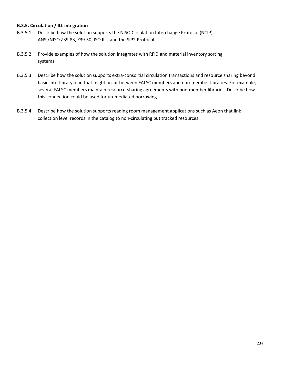#### **B.3.5. Circulation / ILL integration**

- B.3.5.1 Describe how the solution supports the NISO Circulation Interchange Protocol (NCIP), ANSI/NISO Z39.83, Z39.50, ISO ILL, and the SIP2 Protocol.
- B.3.5.2 Provide examples of how the solution integrates with RFID and material inventory sorting systems.
- B.3.5.3 Describe how the solution supports extra-consortial circulation transactions and resource sharing beyond basic interlibrary loan that might occur between FALSC members and non-member libraries. For example, several FALSC members maintain resource-sharing agreements with non-member libraries. Describe how this connection could be used for un-mediated borrowing.
- B.3.5.4 Describe how the solution supports reading room management applications such as Aeon that link collection level records in the catalog to non-circulating but tracked resources.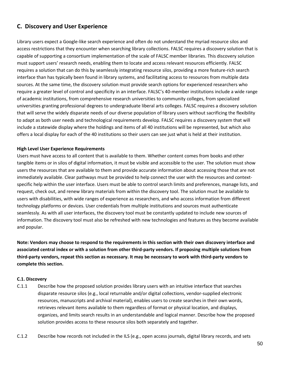#### **C. Discovery and User Experience**

Library users expect a Google-like search experience and often do not understand the myriad resource silos and access restrictions that they encounter when searching library collections. FALSC requires a discovery solution that is capable of supporting a consortium implementation of the scale of FALSC member libraries. This discovery solution must support users' research needs, enabling them to locate and access relevant resources efficiently. FALSC requires a solution that can do this by seamlessly integrating resource silos, providing a more feature-rich search interface than has typically been found in library systems, and facilitating access to resources from multiple data sources. At the same time, the discovery solution must provide search options for experienced researchers who require a greater level of control and specificity in an interface. FALSC's 40-member institutions include a wide range of academic institutions, from comprehensive research universities to community colleges, from specialized universities granting professional degrees to undergraduate liberal arts colleges. FALSC requires a discovery solution that will serve the widely disparate needs of our diverse population of library users without sacrificing the flexibility to adapt as both user needs and technological requirements develop. FALSC requires a discovery system that will include a statewide display where the holdings and items of all 40 institutions will be represented, but which also offers a local display for each of the 40 institutions so their users can see just what is held at their institution.

#### **High Level User Experience Requirements**

Users must have access to all content that is available to them. Whether content comes from books and other tangible items or in silos of digital information, it must be visible and accessible to the user. The solution must show users the resources that are available to them and provide accurate information about accessing those that are not immediately available. Clear pathways must be provided to help connect the user with the resources and contextspecific help within the user interface. Users must be able to control search limits and preferences, manage lists, and request, check out, and renew library materials from within the discovery tool. The solution must be available to users with disabilities, with wide ranges of experience as researchers, and who access information from different technology platforms or devices. User credentials from multiple institutions and sources must authenticate seamlessly. As with all user interfaces, the discovery tool must be constantly updated to include new sources of information. The discovery tool must also be refreshed with new technologies and features as they become available and popular.

**Note: Vendors may choose to respond to the requirements in this section with their own discovery interface and associated central index or with a solution from other third-party vendors. If proposing multiple solutions from third-party vendors, repeat this section as necessary. It may be necessary to work with third-party vendors to complete this section.**

#### **C.1. Discovery**

- C.1.1 Describe how the proposed solution provides library users with an intuitive interface that searches disparate resource silos (e.g., local returnable and/or digital collections, vendor-supplied electronic resources, manuscripts and archival material), enables users to create searches in their own words, retrieves relevant items available to them regardless of format or physical location, and displays, organizes, and limits search results in an understandable and logical manner. Describe how the proposed solution provides access to these resource silos both separately and together.
- C.1.2 Describe how records not included in the ILS (e.g., open access journals, digital library records, and sets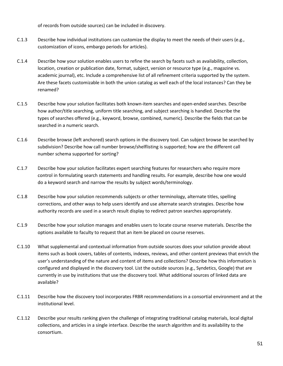of records from outside sources) can be included in discovery.

- C.1.3 Describe how individual institutions can customize the display to meet the needs of their users (e.g., customization of icons, embargo periods for articles).
- C.1.4 Describe how your solution enables users to refine the search by facets such as availability, collection, location, creation or publication date, format, subject, version or resource type (e.g., magazine vs. academic journal), etc. Include a comprehensive list of all refinement criteria supported by the system. Are these facets customizable in both the union catalog as well each of the local instances? Can they be renamed?
- C.1.5 Describe how your solution facilitates both known-item searches and open-ended searches. Describe how author/title searching, uniform title searching, and subject searching is handled. Describe the types of searches offered (e.g., keyword, browse, combined, numeric). Describe the fields that can be searched in a numeric search.
- C.1.6 Describe browse (left anchored) search options in the discovery tool. Can subject browse be searched by subdivision? Describe how call number browse/shelflisting is supported; how are the different call number schema supported for sorting?
- C.1.7 Describe how your solution facilitates expert searching features for researchers who require more control in formulating search statements and handling results. For example, describe how one would do a keyword search and narrow the results by subject words/terminology.
- C.1.8 Describe how your solution recommends subjects or other terminology, alternate titles, spelling corrections, and other ways to help users identify and use alternate search strategies. Describe how authority records are used in a search result display to redirect patron searches appropriately.
- C.1.9 Describe how your solution manages and enables users to locate course reserve materials. Describe the options available to faculty to request that an item be placed on course reserves.
- C.1.10 What supplemental and contextual information from outside sources does your solution provide about items such as book covers, tables of contents, indexes, reviews, and other content previews that enrich the user's understanding of the nature and content of items and collections? Describe how this information is configured and displayed in the discovery tool. List the outside sources (e.g., Syndetics, Google) that are currently in use by institutions that use the discovery tool. What additional sources of linked data are available?
- C.1.11 Describe how the discovery tool incorporates FRBR recommendations in a consortial environment and at the institutional level.
- C.1.12 Describe your results ranking given the challenge of integrating traditional catalog materials, local digital collections, and articles in a single interface. Describe the search algorithm and its availability to the consortium.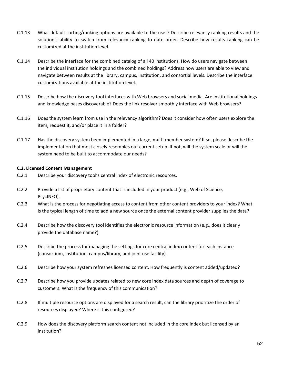- C.1.13 What default sorting/ranking options are available to the user? Describe relevancy ranking results and the solution's ability to switch from relevancy ranking to date order. Describe how results ranking can be customized at the institution level.
- C.1.14 Describe the interface for the combined catalog of all 40 institutions. How do users navigate between the individual institution holdings and the combined holdings? Address how users are able to view and navigate between results at the library, campus, institution, and consortial levels. Describe the interface customizations available at the institution level.
- C.1.15 Describe how the discovery tool interfaces with Web browsers and social media. Are institutional holdings and knowledge bases discoverable? Does the link resolver smoothly interface with Web browsers?
- C.1.16 Does the system learn from use in the relevancy algorithm? Does it consider how often users explore the item, request it, and/or place it in a folder?
- C.1.17 Has the discovery system been implemented in a large, multi-member system? If so, please describe the implementation that most closely resembles our current setup. If not, will the system scale or will the system need to be built to accommodate our needs?

#### **C.2. Licensed Content Management**

- C.2.1 Describe your discovery tool's central index of electronic resources.
- C.2.2 Provide a list of proprietary content that is included in your product (e.g., Web of Science, PsycINFO).
- C.2.3 What is the process for negotiating access to content from other content providers to your index? What is the typical length of time to add a new source once the external content provider supplies the data?
- C.2.4 Describe how the discovery tool identifies the electronic resource information (e.g., does it clearly provide the database name?).
- C.2.5 Describe the process for managing the settings for core central index content for each instance (consortium, institution, campus/library, and joint use facility).
- C.2.6 Describe how your system refreshes licensed content. How frequently is content added/updated?
- C.2.7 Describe how you provide updates related to new core index data sources and depth of coverage to customers. What is the frequency of this communication?
- C.2.8 If multiple resource options are displayed for a search result, can the library prioritize the order of resources displayed? Where is this configured?
- C.2.9 How does the discovery platform search content not included in the core index but licensed by an institution?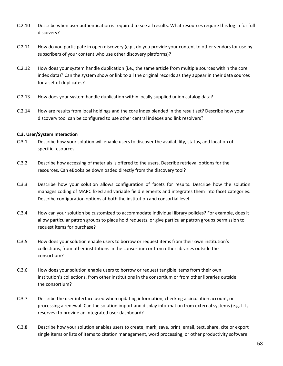- C.2.10 Describe when user authentication is required to see all results. What resources require this log in for full discovery?
- C.2.11 How do you participate in open discovery (e.g., do you provide your content to other vendors for use by subscribers of your content who use other discovery platforms)?
- C.2.12 How does your system handle duplication (i.e., the same article from multiple sources within the core index data)? Can the system show or link to all the original records as they appear in their data sources for a set of duplicates?
- C.2.13 How does your system handle duplication within locally supplied union catalog data?
- C.2.14 How are results from local holdings and the core index blended in the result set? Describe how your discovery tool can be configured to use other central indexes and link resolvers?

#### **C.3. User/System Interaction**

- C.3.1 Describe how your solution will enable users to discover the availability, status, and location of specific resources.
- C.3.2 Describe how accessing of materials is offered to the users. Describe retrieval options for the resources. Can eBooks be downloaded directly from the discovery tool?
- C.3.3 Describe how your solution allows configuration of facets for results. Describe how the solution manages coding of MARC fixed and variable field elements and integrates them into facet categories. Describe configuration options at both the institution and consortial level.
- C.3.4 How can your solution be customized to accommodate individual library policies? For example, does it allow particular patron groups to place hold requests, or give particular patron groups permission to request items for purchase?
- C.3.5 How does your solution enable users to borrow or request items from their own institution's collections, from other institutions in the consortium or from other libraries outside the consortium?
- C.3.6 How does your solution enable users to borrow or request tangible items from their own institution's collections, from other institutions in the consortium or from other libraries outside the consortium?
- C.3.7 Describe the user interface used when updating information, checking a circulation account, or processing a renewal. Can the solution import and display information from external systems (e.g. ILL, reserves) to provide an integrated user dashboard?
- C.3.8 Describe how your solution enables users to create, mark, save, print, email, text, share, cite or export single items or lists of items to citation management, word processing, or other productivity software.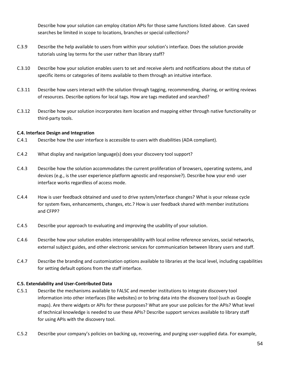Describe how your solution can employ citation APIs for those same functions listed above. Can saved searches be limited in scope to locations, branches or special collections?

- C.3.9 Describe the help available to users from within your solution's interface. Does the solution provide tutorials using lay terms for the user rather than library staff?
- C.3.10 Describe how your solution enables users to set and receive alerts and notifications about the status of specific items or categories of items available to them through an intuitive interface.
- C.3.11 Describe how users interact with the solution through tagging, recommending, sharing, or writing reviews of resources. Describe options for local tags. How are tags mediated and searched?
- C.3.12 Describe how your solution incorporates item location and mapping either through native functionality or third-party tools.

#### **C.4. Interface Design and Integration**

- C.4.1 Describe how the user interface is accessible to users with disabilities (ADA compliant).
- C.4.2 What display and navigation language(s) does your discovery tool support?
- C.4.3 Describe how the solution accommodates the current proliferation of browsers, operating systems, and devices (e.g., is the user experience platform agnostic and responsive?). Describe how your end- user interface works regardless of access mode.
- C.4.4 How is user feedback obtained and used to drive system/interface changes? What is your release cycle for system fixes, enhancements, changes, etc.? How is user feedback shared with member institutions and CFPP?
- C.4.5 Describe your approach to evaluating and improving the usability of your solution.
- C.4.6 Describe how your solution enables interoperability with local online reference services, social networks, external subject guides, and other electronic services for communication between library users and staff.
- C.4.7 Describe the branding and customization options available to libraries at the local level, including capabilities for setting default options from the staff interface.

#### **C.5. Extendability and User-Contributed Data**

- C.5.1 Describe the mechanisms available to FALSC and member institutions to integrate discovery tool information into other interfaces (like websites) or to bring data into the discovery tool (such as Google maps). Are there widgets or APIs for these purposes? What are your use policies for the APIs? What level of technical knowledge is needed to use these APIs? Describe support services available to library staff for using APIs with the discovery tool.
- C.5.2 Describe your company's policies on backing up, recovering, and purging user-supplied data. For example,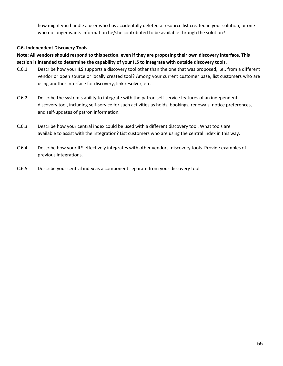how might you handle a user who has accidentally deleted a resource list created in your solution, or one who no longer wants information he/she contributed to be available through the solution?

#### **C.6. Independent Discovery Tools**

#### **Note: All vendors should respond to this section, even if they are proposing their own discovery interface. This section is intended to determine the capability of your ILS to integrate with outside discovery tools.**

- C.6.1 Describe how your ILS supports a discovery tool other than the one that was proposed, i.e., from a different vendor or open source or locally created tool? Among your current customer base, list customers who are using another interface for discovery, link resolver, etc.
- C.6.2 Describe the system's ability to integrate with the patron self-service features of an independent discovery tool, including self-service for such activities as holds, bookings, renewals, notice preferences, and self-updates of patron information.
- C.6.3 Describe how your central index could be used with a different discovery tool. What tools are available to assist with the integration? List customers who are using the central index in this way.
- C.6.4 Describe how your ILS effectively integrates with other vendors' discovery tools. Provide examples of previous integrations.
- C.6.5 Describe your central index as a component separate from your discovery tool.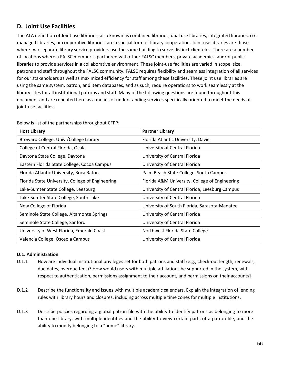#### **D. Joint Use Facilities**

The ALA definition of Joint use libraries, also known as combined libraries, dual use libraries, integrated libraries, comanaged libraries, or cooperative libraries, are a special form of library cooperation. Joint use libraries are those where two separate library service providers use the same building to serve distinct clienteles. There are a number of locations where a FALSC member is partnered with other FALSC members, private academics, and/or public libraries to provide services in a collaborative environment. These joint-use facilities are varied in scope, size, patrons and staff throughout the FALSC community. FALSC requires flexibility and seamless integration of all services for our stakeholders as well as maximized efficiency for staff among these facilities. These joint use libraries are using the same system, patron, and item databases, and as such, require operations to work seamlessly at the library sites for all institutional patrons and staff. Many of the following questions are found throughout this document and are repeated here as a means of understanding services specifically oriented to meet the needs of joint-use facilities.

| <b>Host Library</b>                              | <b>Partner Library</b>                         |
|--------------------------------------------------|------------------------------------------------|
| Broward College, Univ./College Library           | Florida Atlantic University, Davie             |
| College of Central Florida, Ocala                | University of Central Florida                  |
| Daytona State College, Daytona                   | University of Central Florida                  |
| Eastern Florida State College, Cocoa Campus      | University of Central Florida                  |
| Florida Atlantic University, Boca Raton          | Palm Beach State College, South Campus         |
| Florida State University, College of Engineering | Florida A&M University, College of Engineering |
| Lake-Sumter State College, Leesburg              | University of Central Florida, Leesburg Campus |
| Lake-Sumter State College, South Lake            | University of Central Florida                  |
| New College of Florida                           | University of South Florida, Sarasota-Manatee  |
| Seminole State College, Altamonte Springs        | University of Central Florida                  |
| Seminole State College, Sanford                  | University of Central Florida                  |
| University of West Florida, Emerald Coast        | Northwest Florida State College                |
| Valencia College, Osceola Campus                 | University of Central Florida                  |

Below is list of the partnerships throughout CFPP:

#### **D.1. Administration**

- D.1.1 How are individual institutional privileges set for both patrons and staff (e.g., check-out length, renewals, due dates, overdue fees)? How would users with multiple affiliations be supported in the system, with respect to authentication, permissions assignment to their account, and permissions on their accounts?
- D.1.2 Describe the functionality and issues with multiple academic calendars. Explain the integration of lending rules with library hours and closures, including across multiple time zones for multiple institutions.
- D.1.3 Describe policies regarding a global patron file with the ability to identify patrons as belonging to more than one library, with multiple identities and the ability to view certain parts of a patron file, and the ability to modify belonging to a "home" library.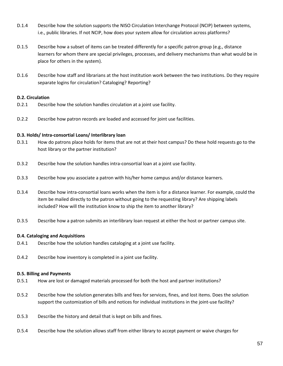- D.1.4 Describe how the solution supports the NISO Circulation Interchange Protocol (NCIP) between systems, i.e., public libraries. If not NCIP, how does your system allow for circulation across platforms?
- D.1.5 Describe how a subset of items can be treated differently for a specific patron group (e.g., distance learners for whom there are special privileges, processes, and delivery mechanisms than what would be in place for others in the system).
- D.1.6 Describe how staff and librarians at the host institution work between the two institutions. Do they require separate logins for circulation? Cataloging? Reporting?

#### **D.2. Circulation**

- D.2.1 Describe how the solution handles circulation at a joint use facility.
- D.2.2 Describe how patron records are loaded and accessed for joint use facilities.

#### **D.3. Holds/ Intra-consortial Loans/ Interlibrary loan**

- D.3.1 How do patrons place holds for items that are not at their host campus? Do these hold requests go to the host library or the partner institution?
- D.3.2 Describe how the solution handles intra-consortial loan at a joint use facility.
- D.3.3 Describe how you associate a patron with his/her home campus and/or distance learners.
- D.3.4 Describe how intra-consortial loans works when the item is for a distance learner. For example, could the item be mailed directly to the patron without going to the requesting library? Are shipping labels included? How will the institution know to ship the item to another library?
- D.3.5 Describe how a patron submits an interlibrary loan request at either the host or partner campus site.

#### **D.4. Cataloging and Acquisitions**

- D.4.1 Describe how the solution handles cataloging at a joint use facility.
- D.4.2 Describe how inventory is completed in a joint use facility.

#### **D.5. Billing and Payments**

- D.5.1 How are lost or damaged materials processed for both the host and partner institutions?
- D.5.2 Describe how the solution generates bills and fees for services, fines, and lost items. Does the solution support the customization of bills and notices for individual institutions in the joint-use facility?
- D.5.3 Describe the history and detail that is kept on bills and fines.
- D.5.4 Describe how the solution allows staff from either library to accept payment or waive charges for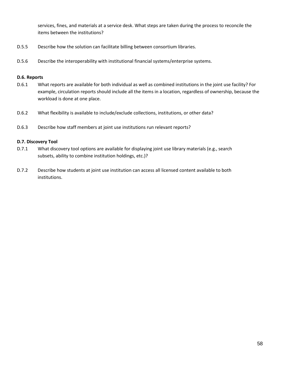services, fines, and materials at a service desk. What steps are taken during the process to reconcile the items between the institutions?

- D.5.5 Describe how the solution can facilitate billing between consortium libraries.
- D.5.6 Describe the interoperability with institutional financial systems/enterprise systems.

#### **D.6. Reports**

- D.6.1 What reports are available for both individual as well as combined institutions in the joint use facility? For example, circulation reports should include all the items in a location, regardless of ownership, because the workload is done at one place.
- D.6.2 What flexibility is available to include/exclude collections, institutions, or other data?
- D.6.3 Describe how staff members at joint use institutions run relevant reports?

#### **D.7. Discovery Tool**

- D.7.1 What discovery tool options are available for displaying joint use library materials (e.g., search subsets, ability to combine institution holdings, etc.)?
- D.7.2 Describe how students at joint use institution can access all licensed content available to both institutions.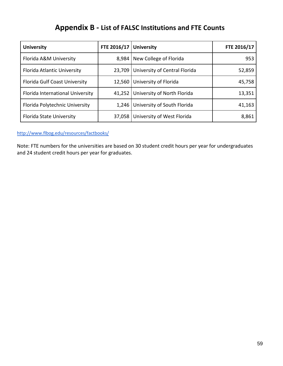## **Appendix B - List of FALSC Institutions and FTE Counts**

| <b>University</b>                | FTE 2016/17 | <b>University</b>             | FTE 2016/17 |
|----------------------------------|-------------|-------------------------------|-------------|
| Florida A&M University           | 8,984       | New College of Florida        | 953         |
| Florida Atlantic University      | 23,709      | University of Central Florida | 52,859      |
| Florida Gulf Coast University    | 12,560      | University of Florida         | 45,758      |
| Florida International University | 41,252      | University of North Florida   | 13,351      |
| Florida Polytechnic University   | 1,246       | University of South Florida   | 41,163      |
| <b>Florida State University</b>  | 37,058      | University of West Florida    | 8,861       |

<http://www.flbog.edu/resources/factbooks/>

Note: FTE numbers for the universities are based on 30 student credit hours per year for undergraduates and 24 student credit hours per year for graduates.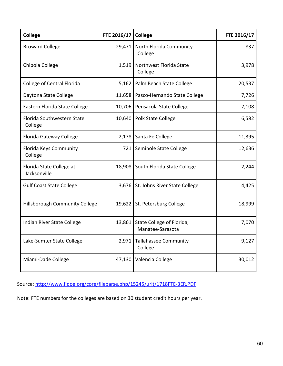| <b>College</b>                           | FTE 2016/17 | College                                       | FTE 2016/17 |
|------------------------------------------|-------------|-----------------------------------------------|-------------|
| <b>Broward College</b>                   |             | 29,471   North Florida Community<br>College   | 837         |
| Chipola College                          | 1,519       | Northwest Florida State<br>College            | 3,978       |
| <b>College of Central Florida</b>        |             | 5,162   Palm Beach State College              | 20,537      |
| Daytona State College                    | 11,658      | Pasco-Hernando State College                  | 7,726       |
| Eastern Florida State College            | 10,706      | Pensacola State College                       | 7,108       |
| Florida Southwestern State<br>College    |             | 10,640   Polk State College                   | 6,582       |
| Florida Gateway College                  |             | 2,178   Santa Fe College                      | 11,395      |
| Florida Keys Community<br>College        | 721         | Seminole State College                        | 12,636      |
| Florida State College at<br>Jacksonville |             | 18,908 South Florida State College            | 2,244       |
| <b>Gulf Coast State College</b>          |             | 3,676   St. Johns River State College         | 4,425       |
| <b>Hillsborough Community College</b>    |             | 19,622   St. Petersburg College               | 18,999      |
| Indian River State College               | 13,861      | State College of Florida,<br>Manatee-Sarasota | 7,070       |
| Lake-Sumter State College                |             | 2,971 Tallahassee Community<br>College        | 9,127       |
| Miami-Dade College                       | 47,130      | Valencia College                              | 30,012      |

Source:<http://www.fldoe.org/core/fileparse.php/15245/urlt/1718FTE-3ER.PDF>

Note: FTE numbers for the colleges are based on 30 student credit hours per year.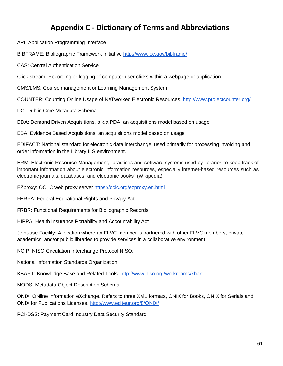## **Appendix C - Dictionary of Terms and Abbreviations**

<span id="page-60-0"></span>API: Application Programming Interface

BIBFRAME: Bibliographic Framework Initiative<http://www.loc.gov/bibframe/>

CAS: Central Authentication Service

Click-stream: Recording or logging of computer user clicks within a webpage or application

CMS/LMS: Course management or Learning Management System

COUNTER: Counting Online Usage of NeTworked Electronic Resources.<http://www.projectcounter.org/>

DC: Dublin Core Metadata Schema

DDA: Demand Driven Acquisitions, a.k.a PDA, an acquisitions model based on usage

EBA: Evidence Based Acquisitions, an acquisitions model based on usage

EDIFACT: National standard for electronic data interchange, used primarily for processing invoicing and order information in the Library ILS environment.

ERM: Electronic Resource Management, "practices and software systems used by libraries to keep track of important information about electronic information resources, especially internet-based resources such as electronic journals, databases, and electronic books" (Wikipedia)

EZproxy: OCLC web proxy server<https://oclc.org/ezproxy.en.html>

FERPA: Federal Educational Rights and Privacy Act

FRBR: Functional Requirements for Bibliographic Records

HIPPA: Health Insurance Portability and Accountability Act

Joint-use Facility: A location where an FLVC member is partnered with other FLVC members, private academics, and/or public libraries to provide services in a collaborative environment.

NCIP: NISO Circulation Interchange Protocol NISO:

National Information Standards Organization

KBART: Knowledge Base and Related Tools.<http://www.niso.org/workrooms/kbart>

MODS: Metadata Object Description Schema

ONIX: ONline Information eXchange. Refers to three XML formats, ONIX for Books, ONIX for Serials and ONIX for Publications Licenses.<http://www.editeur.org/8/ONIX/>

PCI-DSS: Payment Card Industry Data Security Standard